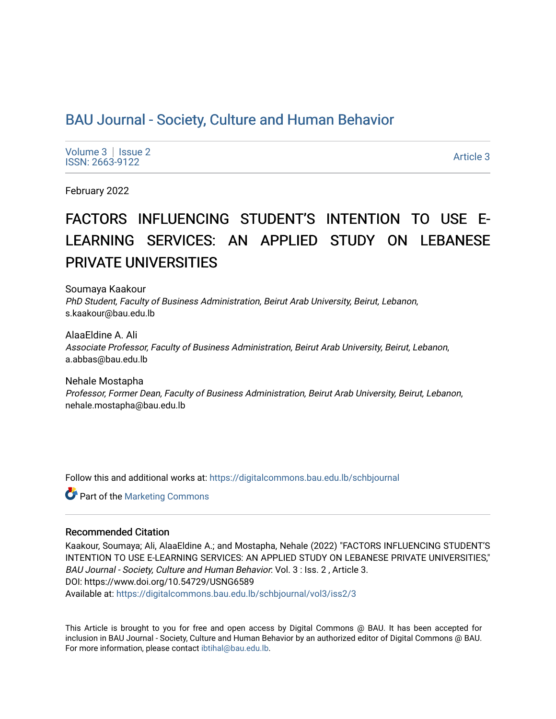# [BAU Journal - Society, Culture and Human Behavior](https://digitalcommons.bau.edu.lb/schbjournal)

Volume  $3 \mid$  Issue 2 Notative Superior Contract the Superior Contract of the Superior Contract of the Superior Contract of the Superior Contract of the Superior Contract of the Superior Contract of the Superior Contract of the Superior Contrac

February 2022

# FACTORS INFLUENCING STUDENT'S INTENTION TO USE E-LEARNING SERVICES: AN APPLIED STUDY ON LEBANESE PRIVATE UNIVERSITIES

Soumaya Kaakour PhD Student, Faculty of Business Administration, Beirut Arab University, Beirut, Lebanon, s.kaakour@bau.edu.lb

AlaaEldine A. Ali Associate Professor, Faculty of Business Administration, Beirut Arab University, Beirut, Lebanon, a.abbas@bau.edu.lb

Nehale Mostapha Professor, Former Dean, Faculty of Business Administration, Beirut Arab University, Beirut, Lebanon, nehale.mostapha@bau.edu.lb

Follow this and additional works at: [https://digitalcommons.bau.edu.lb/schbjournal](https://digitalcommons.bau.edu.lb/schbjournal?utm_source=digitalcommons.bau.edu.lb%2Fschbjournal%2Fvol3%2Fiss2%2F3&utm_medium=PDF&utm_campaign=PDFCoverPages)

**C** Part of the [Marketing Commons](http://network.bepress.com/hgg/discipline/638?utm_source=digitalcommons.bau.edu.lb%2Fschbjournal%2Fvol3%2Fiss2%2F3&utm_medium=PDF&utm_campaign=PDFCoverPages)

#### Recommended Citation

Kaakour, Soumaya; Ali, AlaaEldine A.; and Mostapha, Nehale (2022) "FACTORS INFLUENCING STUDENT'S INTENTION TO USE E-LEARNING SERVICES: AN APPLIED STUDY ON LEBANESE PRIVATE UNIVERSITIES," BAU Journal - Society, Culture and Human Behavior: Vol. 3 : Iss. 2 , Article 3. DOI: https://www.doi.org/10.54729/USNG6589 Available at: [https://digitalcommons.bau.edu.lb/schbjournal/vol3/iss2/3](https://digitalcommons.bau.edu.lb/schbjournal/vol3/iss2/3?utm_source=digitalcommons.bau.edu.lb%2Fschbjournal%2Fvol3%2Fiss2%2F3&utm_medium=PDF&utm_campaign=PDFCoverPages)

This Article is brought to you for free and open access by Digital Commons @ BAU. It has been accepted for inclusion in BAU Journal - Society, Culture and Human Behavior by an authorized editor of Digital Commons @ BAU. For more information, please contact [ibtihal@bau.edu.lb.](mailto:ibtihal@bau.edu.lb)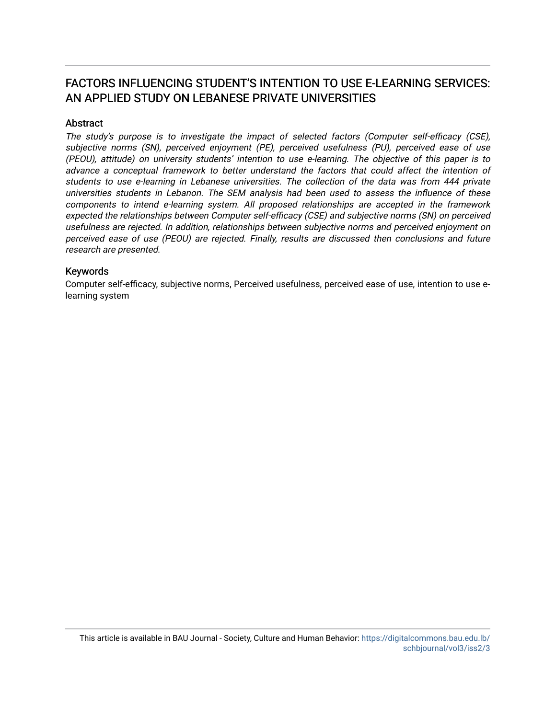# FACTORS INFLUENCING STUDENT'S INTENTION TO USE E-LEARNING SERVICES: AN APPLIED STUDY ON LEBANESE PRIVATE UNIVERSITIES

#### **Abstract**

The study's purpose is to investigate the impact of selected factors (Computer self-efficacy (CSE), subjective norms (SN), perceived enjoyment (PE), perceived usefulness (PU), perceived ease of use (PEOU), attitude) on university students' intention to use e-learning. The objective of this paper is to advance a conceptual framework to better understand the factors that could affect the intention of students to use e-learning in Lebanese universities. The collection of the data was from 444 private universities students in Lebanon. The SEM analysis had been used to assess the influence of these components to intend e-learning system. All proposed relationships are accepted in the framework expected the relationships between Computer self-efficacy (CSE) and subjective norms (SN) on perceived usefulness are rejected. In addition, relationships between subjective norms and perceived enjoyment on perceived ease of use (PEOU) are rejected. Finally, results are discussed then conclusions and future research are presented.

#### Keywords

Computer self-efficacy, subjective norms, Perceived usefulness, perceived ease of use, intention to use elearning system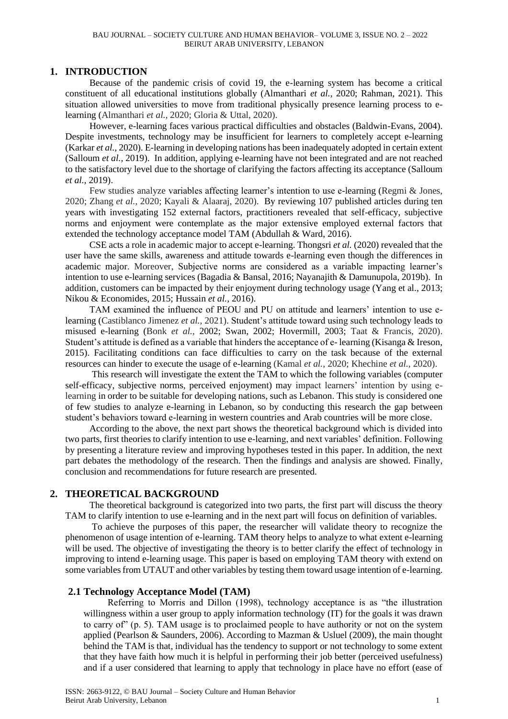#### **1. INTRODUCTION**

Because of the pandemic crisis of covid 19, the e-learning system has become a critical constituent of all educational institutions globally (Almanthari *et al.,* 2020; Rahman, 2021). This situation allowed universities to move from traditional physically presence learning process to elearning (Almanthari *et al.,* 2020; Gloria & Uttal, 2020).

However, e-learning faces various practical difficulties and obstacles (Baldwin-Evans, 2004). Despite investments, technology may be insufficient for learners to completely accept e-learning (Karkar *et al.,* 2020). E-learning in developing nations has been inadequately adopted in certain extent (Salloum *et al.,* 2019). In addition, applying e-learning have not been integrated and are not reached to the satisfactory level due to the shortage of clarifying the factors affecting its acceptance (Salloum *et al.,* 2019).

Few studies analyze variables affecting learner's intention to use e-learning (Regmi & Jones, 2020; Zhang *et al.,* 2020; Kayali & Alaaraj, 2020). By reviewing 107 published articles during ten years with investigating 152 external factors, practitioners revealed that self-efficacy, subjective norms and enjoyment were contemplate as the major extensive employed external factors that extended the technology acceptance model TAM (Abdullah & Ward, 2016).

CSE acts a role in academic major to accept e-learning. Thongsri *et al.* (2020) revealed that the user have the same skills, awareness and attitude towards e-learning even though the differences in academic major. Moreover, Subjective norms are considered as a variable impacting learner's intention to use e-learning services (Bagadia & Bansal, 2016; Nayanajith & Damunupola, 2019b). In addition, customers can be impacted by their enjoyment during technology usage (Yang et al., 2013; Nikou & Economides, 2015; Hussain *et al.,* 2016).

TAM examined the influence of PEOU and PU on attitude and learners' intention to use elearning (Castiblanco Jimenez *et al.,* 2021). Student's attitude toward using such technology leads to misused e-learning (Bonk *et al.,* 2002; Swan*,* 2002; Hovermill, 2003; Taat & Francis, 2020). Student's attitude is defined as a variable that hinders the acceptance of e- learning (Kisanga & Ireson, 2015). Facilitating conditions can face difficulties to carry on the task because of the external resources can hinder to execute the usage of e-learning (Kamal *et al.,* 2020; Khechine *et al.,* 2020).

This research will investigate the extent the TAM to which the following variables (computer self-efficacy, subjective norms, perceived enjoyment) may impact learners' intention by using elearning in order to be suitable for developing nations, such as Lebanon. This study is considered one of few studies to analyze e-learning in Lebanon, so by conducting this research the gap between student's behaviors toward e-learning in western countries and Arab countries will be more close.

According to the above, the next part shows the theoretical background which is divided into two parts, first theories to clarify intention to use e-learning, and next variables' definition. Following by presenting a literature review and improving hypotheses tested in this paper. In addition, the next part debates the methodology of the research. Then the findings and analysis are showed. Finally, conclusion and recommendations for future research are presented.

# **2. THEORETICAL BACKGROUND**

The theoretical background is categorized into two parts, the first part will discuss the theory TAM to clarify intention to use e-learning and in the next part will focus on definition of variables.

To achieve the purposes of this paper, the researcher will validate theory to recognize the phenomenon of usage intention of e-learning. TAM theory helps to analyze to what extent e-learning will be used. The objective of investigating the theory is to better clarify the effect of technology in improving to intend e-learning usage. This paper is based on employing TAM theory with extend on some variables from UTAUT and other variables by testing them toward usage intention of e-learning.

#### **2.1 Technology Acceptance Model (TAM)**

Referring to Morris and Dillon (1998), technology acceptance is as "the illustration willingness within a user group to apply information technology (IT) for the goals it was drawn to carry of" (p. 5). TAM usage is to proclaimed people to have authority or not on the system applied (Pearlson & Saunders, 2006). According to Mazman & Usluel (2009), the main thought behind the TAM is that, individual has the tendency to support or not technology to some extent that they have faith how much it is helpful in performing their job better (perceived usefulness) and if a user considered that learning to apply that technology in place have no effort (ease of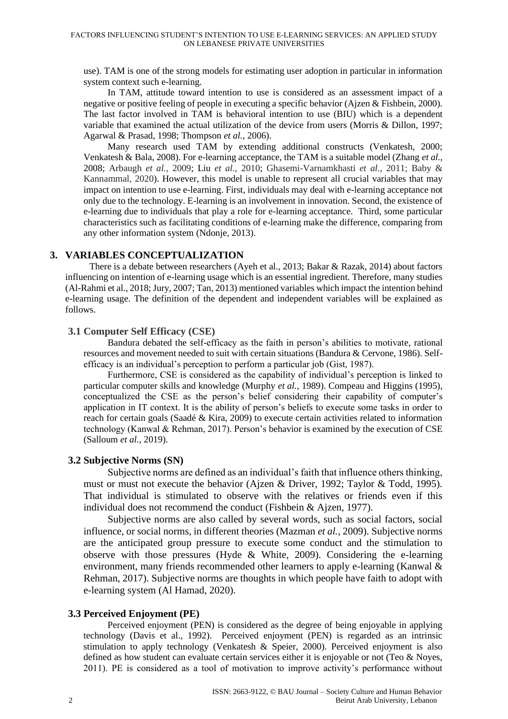use). TAM is one of the strong models for estimating user adoption in particular in information system context such e-learning.

In TAM, attitude toward intention to use is considered as an assessment impact of a negative or positive feeling of people in executing a specific behavior (Ajzen & Fishbein, 2000). The last factor involved in TAM is behavioral intention to use (BIU) which is a dependent variable that examined the actual utilization of the device from users (Morris & Dillon, 1997; Agarwal & Prasad, 1998; Thompson *et al.,* 2006).

Many research used TAM by extending additional constructs (Venkatesh, 2000; Venkatesh & Bala, 2008). For e-learning acceptance, the TAM is a suitable model (Zhang *et al.,* 2008; Arbaugh *et al.,* 2009; Liu *et al.,* 2010; Ghasemi-Varnamkhasti *et al.,* 2011; Baby & Kannammal, 2020). However, this model is unable to represent all crucial variables that may impact on intention to use e-learning. First, individuals may deal with e-learning acceptance not only due to the technology. E-learning is an involvement in innovation. Second, the existence of e-learning due to individuals that play a role for e-learning acceptance. Third, some particular characteristics such as facilitating conditions of e-learning make the difference, comparing from any other information system (Ndonje, 2013).

#### **3. VARIABLES CONCEPTUALIZATION**

There is a debate between researchers (Ayeh et al., 2013; Bakar & Razak, 2014) about factors influencing on intention of e-learning usage which is an essential ingredient. Therefore, many studies (Al-Rahmi et al., 2018; Jury, 2007; Tan, 2013) mentioned variables which impact the intention behind e-learning usage. The definition of the dependent and independent variables will be explained as follows.

#### **3.1 Computer Self Efficacy (CSE)**

Bandura debated the self-efficacy as the faith in person's abilities to motivate, rational resources and movement needed to suit with certain situations (Bandura & Cervone, 1986). Selfefficacy is an individual's perception to perform a particular job (Gist, 1987).

Furthermore, CSE is considered as the capability of individual's perception is linked to particular computer skills and knowledge (Murphy *et al.,* 1989). Compeau and Higgins (1995), conceptualized the CSE as the person's belief considering their capability of computer's application in IT context. It is the ability of person's beliefs to execute some tasks in order to reach for certain goals (Saadé & Kira, 2009) to execute certain activities related to information technology (Kanwal & Rehman, 2017). Person's behavior is examined by the execution of CSE (Salloum *et al.,* 2019).

#### **3.2 Subjective Norms (SN)**

Subjective norms are defined as an individual's faith that influence others thinking, must or must not execute the behavior (Ajzen & Driver, 1992; Taylor & Todd, 1995). That individual is stimulated to observe with the relatives or friends even if this individual does not recommend the conduct (Fishbein & Ajzen, 1977).

Subjective norms are also called by several words, such as social factors, social influence, or social norms, in different theories (Mazman *et al.,* 2009). Subjective norms are the anticipated group pressure to execute some conduct and the stimulation to observe with those pressures (Hyde & White, 2009). Considering the e-learning environment, many friends recommended other learners to apply e-learning (Kanwal & Rehman, 2017). Subjective norms are thoughts in which people have faith to adopt with e-learning system (Al Hamad, 2020).

#### **3.3 Perceived Enjoyment (PE)**

Perceived enjoyment (PEN) is considered as the degree of being enjoyable in applying technology (Davis et al., 1992). Perceived enjoyment (PEN) is regarded as an intrinsic stimulation to apply technology (Venkatesh & Speier, 2000). Perceived enjoyment is also defined as how student can evaluate certain services either it is enjoyable or not (Teo & Noyes, 2011). PE is considered as a tool of motivation to improve activity's performance without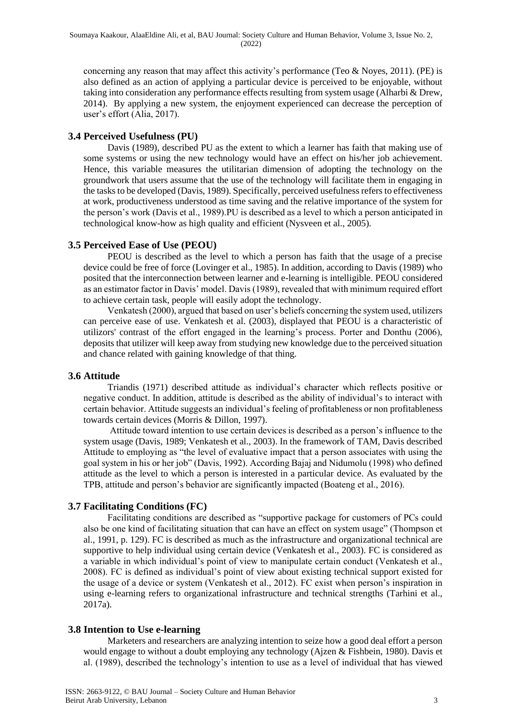concerning any reason that may affect this activity's performance (Teo  $&$  Noyes, 2011). (PE) is also defined as an action of applying a particular device is perceived to be enjoyable, without taking into consideration any performance effects resulting from system usage (Alharbi & Drew, 2014). By applying a new system, the enjoyment experienced can decrease the perception of user's effort (Alia, 2017).

#### **3.4 Perceived Usefulness (PU)**

Davis (1989), described PU as the extent to which a learner has faith that making use of some systems or using the new technology would have an effect on his/her job achievement. Hence, this variable measures the utilitarian dimension of adopting the technology on the groundwork that users assume that the use of the technology will facilitate them in engaging in the tasks to be developed (Davis, 1989). Specifically, perceived usefulness refers to effectiveness at work, productiveness understood as time saving and the relative importance of the system for the person's work (Davis et al., 1989).PU is described as a level to which a person anticipated in technological know-how as high quality and efficient (Nysveen et al., 2005).

# **3.5 Perceived Ease of Use (PEOU)**

PEOU is described as the level to which a person has faith that the usage of a precise device could be free of force (Lovinger et al., 1985). In addition, according to Davis (1989) who posited that the interconnection between learner and e-learning is intelligible. PEOU considered as an estimator factor in Davis' model. Davis (1989), revealed that with minimum required effort to achieve certain task, people will easily adopt the technology.

Venkatesh (2000), argued that based on user's beliefs concerning the system used, utilizers can perceive ease of use. Venkatesh et al. (2003), displayed that PEOU is a characteristic of utilizors' contrast of the effort engaged in the learning's process. Porter and Donthu (2006), deposits that utilizer will keep away from studying new knowledge due to the perceived situation and chance related with gaining knowledge of that thing.

#### **3.6 Attitude**

Triandis (1971) described attitude as individual's character which reflects positive or negative conduct. In addition, attitude is described as the ability of individual's to interact with certain behavior. Attitude suggests an individual's feeling of profitableness or non profitableness towards certain devices (Morris & Dillon, 1997).

Attitude toward intention to use certain devices is described as a person's influence to the system usage (Davis, 1989; Venkatesh et al., 2003). In the framework of TAM, Davis described Attitude to employing as "the level of evaluative impact that a person associates with using the goal system in his or her job" (Davis, 1992). According Bajaj and Nidumolu (1998) who defined attitude as the level to which a person is interested in a particular device. As evaluated by the TPB, attitude and person's behavior are significantly impacted (Boateng et al., 2016).

# **3.7 Facilitating Conditions (FC)**

Facilitating conditions are described as "supportive package for customers of PCs could also be one kind of facilitating situation that can have an effect on system usage" (Thompson et al., 1991, p. 129). FC is described as much as the infrastructure and organizational technical are supportive to help individual using certain device (Venkatesh et al., 2003). FC is considered as a variable in which individual's point of view to manipulate certain conduct (Venkatesh et al., 2008). FC is defined as individual's point of view about existing technical support existed for the usage of a device or system (Venkatesh et al., 2012). FC exist when person's inspiration in using e-learning refers to organizational infrastructure and technical strengths (Tarhini et al., 2017a).

#### **3.8 Intention to Use e-learning**

Marketers and researchers are analyzing intention to seize how a good deal effort a person would engage to without a doubt employing any technology (Ajzen & Fishbein, 1980). Davis et al. (1989), described the technology's intention to use as a level of individual that has viewed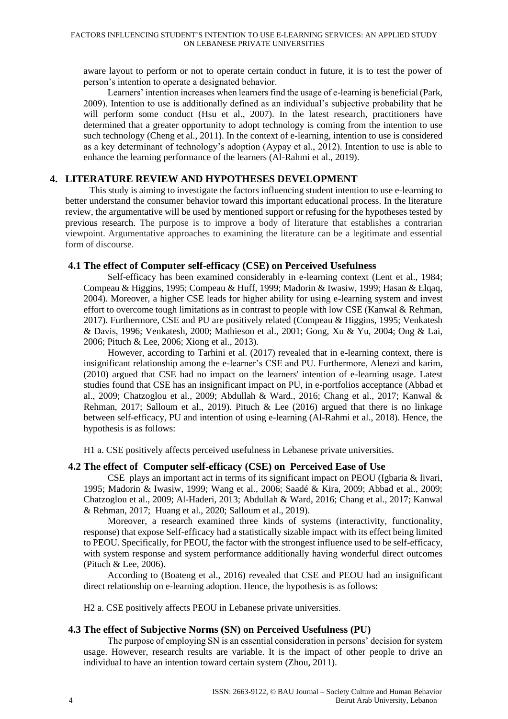aware layout to perform or not to operate certain conduct in future, it is to test the power of person's intention to operate a designated behavior.

Learners' intention increases when learners find the usage of e-learning is beneficial (Park, 2009). Intention to use is additionally defined as an individual's subjective probability that he will perform some conduct (Hsu et al., 2007). In the latest research, practitioners have determined that a greater opportunity to adopt technology is coming from the intention to use such technology (Cheng et al., 2011). In the context of e-learning, intention to use is considered as a key determinant of technology's adoption (Aypay et al., 2012). Intention to use is able to enhance the learning performance of the learners (Al-Rahmi et al., 2019).

#### **4. LITERATURE REVIEW AND HYPOTHESES DEVELOPMENT**

This study is aiming to investigate the factors influencing student intention to use e-learning to better understand the consumer behavior toward this important educational process. In the literature review, the argumentative will be used by mentioned support or refusing for the hypotheses tested by previous research. The purpose is to improve a body of literature that establishes a contrarian viewpoint. Argumentative approaches to examining the literature can be a legitimate and essential form of discourse.

#### **4.1 The effect of Computer self-efficacy (CSE) on Perceived Usefulness**

Self-efficacy has been examined considerably in e-learning context (Lent et al., 1984; Compeau & Higgins, 1995; Compeau & Huff, 1999; Madorin & Iwasiw, 1999; Hasan & Elqaq, 2004). Moreover, a higher CSE leads for higher ability for using e-learning system and invest effort to overcome tough limitations as in contrast to people with low CSE (Kanwal & Rehman, 2017). Furthermore, CSE and PU are positively related (Compeau & Higgins, 1995; Venkatesh & Davis, 1996; Venkatesh, 2000; Mathieson et al., 2001; Gong, Xu & Yu, 2004; Ong & Lai, 2006; Pituch & Lee, 2006; Xiong et al., 2013).

However, according to Tarhini et al. (2017) revealed that in e-learning context, there is insignificant relationship among the e-learner's CSE and PU. Furthermore, Alenezi and karim, (2010) argued that CSE had no impact on the learners' intention of e-learning usage. Latest studies found that CSE has an insignificant impact on PU, in e-portfolios acceptance (Abbad et al., 2009; Chatzoglou et al., 2009; Abdullah & Ward., 2016; Chang et al., 2017; Kanwal & Rehman, 2017; Salloum et al., 2019). Pituch & Lee (2016) argued that there is no linkage between self-efficacy, PU and intention of using e-learning (Al-Rahmi et al., 2018). Hence, the hypothesis is as follows:

H1 a. CSE positively affects perceived usefulness in Lebanese private universities.

#### **4.2 The effect of Computer self-efficacy (CSE) on Perceived Ease of Use**

CSE plays an important act in terms of its significant impact on PEOU (Igbaria & Iivari, 1995; Madorin & Iwasiw, 1999; Wang et al., 2006; Saadé & Kira, 2009; Abbad et al., 2009; Chatzoglou et al., 2009; Al-Haderi, 2013; Abdullah & Ward, 2016; Chang et al., 2017; Kanwal & Rehman, 2017; Huang et al., 2020; Salloum et al., 2019).

Moreover, a research examined three kinds of systems (interactivity, functionality, response) that expose Self-efficacy had a statistically sizable impact with its effect being limited to PEOU. Specifically, for PEOU, the factor with the strongest influence used to be self-efficacy, with system response and system performance additionally having wonderful direct outcomes (Pituch & Lee, 2006).

According to (Boateng et al., 2016) revealed that CSE and PEOU had an insignificant direct relationship on e-learning adoption. Hence, the hypothesis is as follows:

H2 a. CSE positively affects PEOU in Lebanese private universities.

#### **4.3 The effect of Subjective Norms (SN) on Perceived Usefulness (PU)**

The purpose of employing SN is an essential consideration in persons' decision for system usage. However, research results are variable. It is the impact of other people to drive an individual to have an intention toward certain system (Zhou, 2011).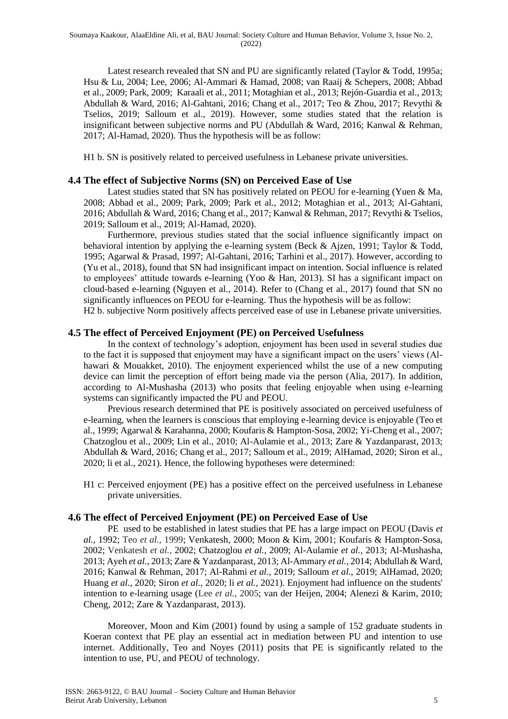Latest research revealed that SN and PU are significantly related (Taylor & Todd, 1995a; Hsu & Lu, 2004; Lee, 2006; Al-Ammari & Hamad, 2008; van Raaij & Schepers, 2008; Abbad et al., 2009; Park, 2009; Karaali et al., 2011; Motaghian et al., 2013; Rejón-Guardia et al., 2013; Abdullah & Ward, 2016; Al-Gahtani, 2016; Chang et al., 2017; Teo & Zhou, 2017; Revythi & Tselios, 2019; Salloum et al., 2019). However, some studies stated that the relation is insignificant between subjective norms and PU (Abdullah & Ward, 2016; Kanwal & Rehman, 2017; Al-Hamad, 2020). Thus the hypothesis will be as follow:

H1 b. SN is positively related to perceived usefulness in Lebanese private universities.

#### **4.4 The effect of Subjective Norms (SN) on Perceived Ease of Use**

Latest studies stated that SN has positively related on PEOU for e-learning (Yuen & Ma, 2008; Abbad et al., 2009; Park, 2009; Park et al., 2012; Motaghian et al., 2013; Al-Gahtani, 2016; Abdullah & Ward, 2016; Chang et al., 2017; Kanwal & Rehman, 2017; Revythi & Tselios, 2019; Salloum et al., 2019; Al-Hamad, 2020).

Furthermore, previous studies stated that the social influence significantly impact on behavioral intention by applying the e-learning system (Beck & Ajzen, 1991; Taylor & Todd, 1995; Agarwal & Prasad, 1997; Al-Gahtani, 2016; Tarhini et al., 2017). However, according to (Yu et al., 2018), found that SN had insignificant impact on intention. Social influence is related to employees' attitude towards e-learning (Yoo & Han, 2013). SI has a significant impact on cloud-based e-learning (Nguyen et al., 2014). Refer to (Chang et al., 2017) found that SN no significantly influences on PEOU for e-learning. Thus the hypothesis will be as follow:

H2 b. subjective Norm positively affects perceived ease of use in Lebanese private universities.

#### **4.5 The effect of Perceived Enjoyment (PE) on Perceived Usefulness**

In the context of technology's adoption, enjoyment has been used in several studies due to the fact it is supposed that enjoyment may have a significant impact on the users' views (Alhawari & Mouakket, 2010). The enjoyment experienced whilst the use of a new computing device can limit the perception of effort being made via the person (Alia, 2017). In addition, according to Al-Mushasha (2013) who posits that feeling enjoyable when using e-learning systems can significantly impacted the PU and PEOU.

Previous research determined that PE is positively associated on perceived usefulness of e-learning, when the learners is conscious that employing e-learning device is enjoyable (Teo et al., 1999; Agarwal & Karahanna, 2000; Koufaris & Hampton-Sosa, 2002; Yi-Cheng et al., 2007; Chatzoglou et al., 2009; Lin et al., 2010; Al-Aulamie et al., 2013; Zare & Yazdanparast, 2013; Abdullah & Ward, 2016; Chang et al., 2017; Salloum et al., 2019; AlHamad, 2020; Siron et al., 2020; li et al., 2021). Hence, the following hypotheses were determined:

H1 c: Perceived enjoyment (PE) has a positive effect on the perceived usefulness in Lebanese private universities.

#### **4.6 The effect of Perceived Enjoyment (PE) on Perceived Ease of Use**

PE used to be established in latest studies that PE has a large impact on PEOU (Davis *et al.,* 1992; Teo *et al.,* 1999; Venkatesh, 2000; Moon & Kim, 2001; Koufaris & Hampton-Sosa, 2002; Venkatesh *et al.,* 2002; Chatzoglou *et al.,* 2009; Al-Aulamie *et al.,* 2013; Al-Mushasha, 2013; Ayeh *et al.,* 2013; Zare & Yazdanparast, 2013; Al-Ammary *et al.,* 2014; Abdullah & Ward, 2016; Kanwal & Rehman, 2017; Al-Rahmi *et al.,* 2019; Salloum *et al.,* 2019; AlHamad, 2020; Huang *et al.,* 2020; Siron *et al.,* 2020; li *et al.,* 2021). Enjoyment had influence on the students' intention to e-learning usage (Lee *et al.,* 2005; van der Heijen, 2004; Alenezi & Karim, 2010; Cheng, 2012; Zare & Yazdanparast, 2013).

Moreover, Moon and Kim (2001) found by using a sample of 152 graduate students in Koeran context that PE play an essential act in mediation between PU and intention to use internet. Additionally, Teo and Noyes (2011) posits that PE is significantly related to the intention to use, PU, and PEOU of technology.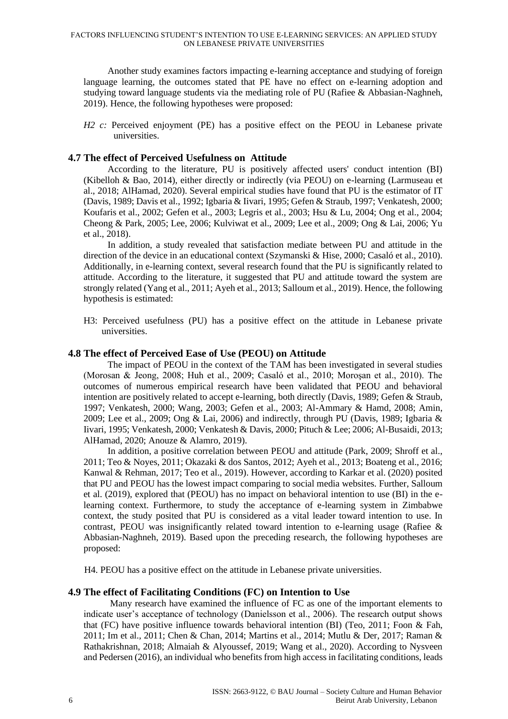Another study examines factors impacting e-learning acceptance and studying of foreign language learning, the outcomes stated that PE have no effect on e-learning adoption and studying toward language students via the mediating role of PU (Rafiee & Abbasian-Naghneh, 2019). Hence, the following hypotheses were proposed:

*H2 c:* Perceived enjoyment (PE) has a positive effect on the PEOU in Lebanese private universities.

#### **4.7 The effect of Perceived Usefulness on Attitude**

According to the literature, PU is positively affected users' conduct intention (BI) (Kibelloh & Bao, 2014), either directly or indirectly (via PEOU) on e-learning (Larmuseau et al., 2018; AlHamad, 2020). Several empirical studies have found that PU is the estimator of IT (Davis, 1989; Davis et al., 1992; Igbaria & Iivari, 1995; Gefen & Straub, 1997; Venkatesh, 2000; Koufaris et al., 2002; Gefen et al., 2003; Legris et al., 2003; Hsu & Lu, 2004; Ong et al., 2004; Cheong & Park, 2005; Lee, 2006; Kulviwat et al., 2009; Lee et al., 2009; Ong & Lai, 2006; Yu et al., 2018).

In addition, a study revealed that satisfaction mediate between PU and attitude in the direction of the device in an educational context (Szymanski & Hise, 2000; Casaló et al., 2010). Additionally, in e-learning context, several research found that the PU is significantly related to attitude. According to the literature, it suggested that PU and attitude toward the system are strongly related (Yang et al., 2011; Ayeh et al., 2013; Salloum et al., 2019). Hence, the following hypothesis is estimated:

H3: Perceived usefulness (PU) has a positive effect on the attitude in Lebanese private universities.

#### **4.8 The effect of Perceived Ease of Use (PEOU) on Attitude**

The impact of PEOU in the context of the TAM has been investigated in several studies (Morosan & Jeong, 2008; Huh et al., 2009; Casaló et al., 2010; Moroşan et al., 2010). The outcomes of numerous empirical research have been validated that PEOU and behavioral intention are positively related to accept e-learning, both directly (Davis, 1989; Gefen & Straub, 1997; Venkatesh, 2000; Wang, 2003; Gefen et al., 2003; Al-Ammary & Hamd, 2008; Amin, 2009; Lee et al., 2009; Ong & Lai, 2006) and indirectly, through PU (Davis, 1989; Igbaria & Iivari, 1995; Venkatesh, 2000; Venkatesh & Davis, 2000; Pituch & Lee; 2006; Al-Busaidi, 2013; AlHamad, 2020; Anouze & Alamro, 2019).

In addition, a positive correlation between PEOU and attitude (Park, 2009; Shroff et al., 2011; Teo & Noyes, 2011; Okazaki & dos Santos, 2012; Ayeh et al., 2013; Boateng et al., 2016; Kanwal & Rehman, 2017; Teo et al., 2019). However, according to Karkar et al. (2020) posited that PU and PEOU has the lowest impact comparing to social media websites. Further, Salloum et al. (2019), explored that (PEOU) has no impact on behavioral intention to use (BI) in the elearning context. Furthermore, to study the acceptance of e-learning system in Zimbabwe context, the study posited that PU is considered as a vital leader toward intention to use. In contrast, PEOU was insignificantly related toward intention to e-learning usage (Rafiee  $\&$ Abbasian-Naghneh, 2019). Based upon the preceding research, the following hypotheses are proposed:

H4. PEOU has a positive effect on the attitude in Lebanese private universities.

#### **4.9 The effect of Facilitating Conditions (FC) on Intention to Use**

Many research have examined the influence of FC as one of the important elements to indicate user's acceptance of technology (Danielsson et al., 2006). The research output shows that (FC) have positive influence towards behavioral intention (BI) (Teo, 2011; Foon & Fah, 2011; Im et al., 2011; Chen & Chan, 2014; Martins et al., 2014; Mutlu & Der, 2017; Raman & Rathakrishnan, 2018; Almaiah & Alyoussef, 2019; Wang et al., 2020). According to Nysveen and Pedersen (2016), an individual who benefits from high access in facilitating conditions, leads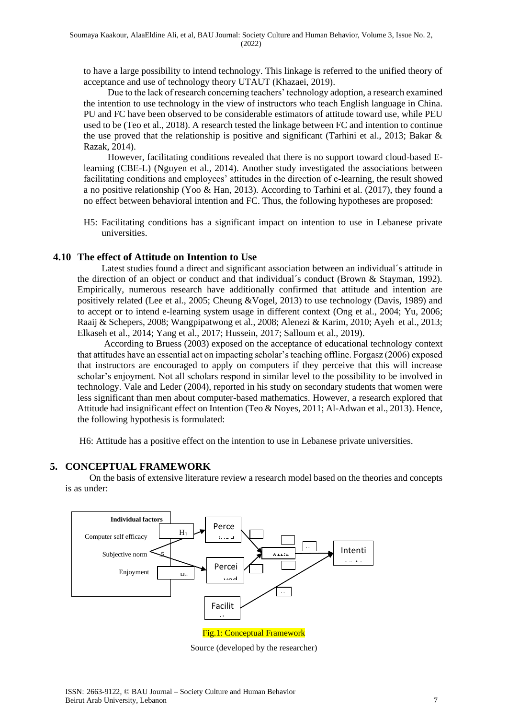to have a large possibility to intend technology. This linkage is referred to the unified theory of acceptance and use of technology theory UTAUT (Khazaei, 2019).

Due to the lack of research concerning teachers' technology adoption, a research examined the intention to use technology in the view of instructors who teach English language in China. PU and FC have been observed to be considerable estimators of attitude toward use, while PEU used to be (Teo et al., 2018). A research tested the linkage between FC and intention to continue the use proved that the relationship is positive and significant (Tarhini et al., 2013; Bakar & Razak, 2014).

However, facilitating conditions revealed that there is no support toward cloud-based Elearning (CBE-L) (Nguyen et al., 2014). Another study investigated the associations between facilitating conditions and employees' attitudes in the direction of e-learning, the result showed a no positive relationship (Yoo & Han, 2013). According to Tarhini et al. (2017), they found a no effect between behavioral intention and FC. Thus, the following hypotheses are proposed:

H5: Facilitating conditions has a significant impact on intention to use in Lebanese private universities.

#### **4.10 The effect of Attitude on Intention to Use**

Latest studies found a direct and significant association between an individual´s attitude in the direction of an object or conduct and that individual´s conduct (Brown & Stayman, 1992). Empirically, numerous research have additionally confirmed that attitude and intention are positively related (Lee et al., 2005; Cheung &Vogel, 2013) to use technology (Davis, 1989) and to accept or to intend e-learning system usage in different context (Ong et al., 2004; Yu, 2006; Raaij & Schepers, 2008; Wangpipatwong et al., 2008; Alenezi & Karim, 2010; Ayeh et al., 2013; Elkaseh et al., 2014; Yang et al., 2017; Hussein, 2017; Salloum et al., 2019).

According to Bruess (2003) exposed on the acceptance of educational technology context that attitudes have an essential act on impacting scholar's teaching offline. Forgasz (2006) exposed that instructors are encouraged to apply on computers if they perceive that this will increase scholar's enjoyment. Not all scholars respond in similar level to the possibility to be involved in technology. Vale and Leder (2004), reported in his study on secondary students that women were less significant than men about computer-based mathematics. However, a research explored that Attitude had insignificant effect on Intention (Teo & Noyes, 2011; Al-Adwan et al., 2013). Hence, the following hypothesis is formulated:

H6: Attitude has a positive effect on the intention to use in Lebanese private universities.

#### **5. CONCEPTUAL FRAMEWORK**

On the basis of extensive literature review a research model based on the theories and concepts is as under:



Source (developed by the researcher)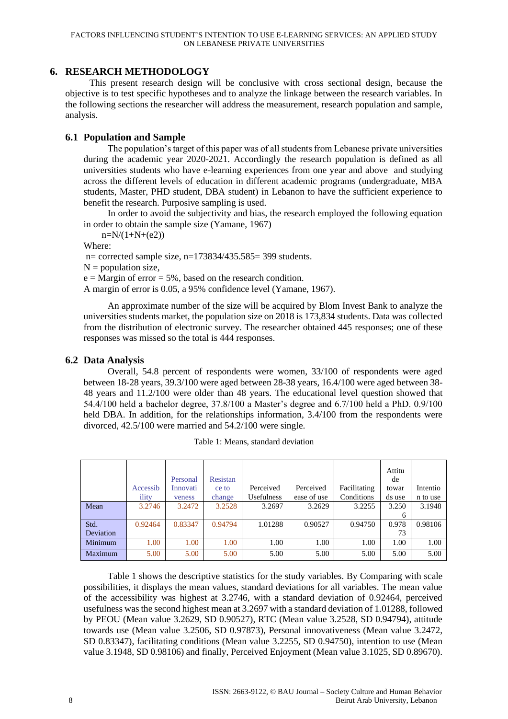#### **6. RESEARCH METHODOLOGY**

This present research design will be conclusive with cross sectional design, because the objective is to test specific hypotheses and to analyze the linkage between the research variables. In the following sections the researcher will address the measurement, research population and sample, analysis.

#### **6.1 Population and Sample**

The population's target of this paper was of all students from Lebanese private universities during the academic year 2020-2021. Accordingly the research population is defined as all universities students who have e-learning experiences from one year and above and studying across the different levels of education in different academic programs (undergraduate, MBA students, Master, PHD student, DBA student) in Lebanon to have the sufficient experience to benefit the research. Purposive sampling is used.

In order to avoid the subjectivity and bias, the research employed the following equation in order to obtain the sample size (Yamane, 1967)

 $n=N/(1+N+(e2))$ 

Where:

n= corrected sample size, n=173834/435.585= 399 students.

 $N =$  population size.

 $e =$  Margin of error = 5%, based on the research condition.

A margin of error is 0.05, a 95% confidence level (Yamane, 1967).

An approximate number of the size will be acquired by Blom Invest Bank to analyze the universities students market, the population size on 2018 is 173,834 students. Data was collected from the distribution of electronic survey. The researcher obtained 445 responses; one of these responses was missed so the total is 444 responses.

### **6.2 Data Analysis**

Overall, 54.8 percent of respondents were women, 33/100 of respondents were aged between 18-28 years, 39.3/100 were aged between 28-38 years, 16.4/100 were aged between 38- 48 years and 11.2/100 were older than 48 years. The educational level question showed that 54.4/100 held a bachelor degree, 37.8/100 a Master's degree and 6.7/100 held a PhD. 0.9/100 held DBA. In addition, for the relationships information,  $3.4/100$  from the respondents were divorced, 42.5/100 were married and 54.2/100 were single.

|           |          |          |          |            |             |              | Attitu |          |
|-----------|----------|----------|----------|------------|-------------|--------------|--------|----------|
|           |          | Personal | Resistan |            |             |              | de     |          |
|           | Accessib | Innovati | ce to    | Perceived  | Perceived   | Facilitating | towar  | Intentio |
|           | ility    | veness   | change   | Usefulness | ease of use | Conditions   | ds use | n to use |
| Mean      | 3.2746   | 3.2472   | 3.2528   | 3.2697     | 3.2629      | 3.2255       | 3.250  | 3.1948   |
|           |          |          |          |            |             |              | 6      |          |
| Std.      | 0.92464  | 0.83347  | 0.94794  | 1.01288    | 0.90527     | 0.94750      | 0.978  | 0.98106  |
| Deviation |          |          |          |            |             |              | 73     |          |
| Minimum   | 1.00     | 1.00     | 1.00     | 1.00       | 1.00        | 1.00         | 1.00   | 1.00     |
| Maximum   | 5.00     | 5.00     | 5.00     | 5.00       | 5.00        | 5.00         | 5.00   | 5.00     |

|  |  |  |  | Table 1: Means, standard deviation |
|--|--|--|--|------------------------------------|
|--|--|--|--|------------------------------------|

Table 1 shows the descriptive statistics for the study variables. By Comparing with scale possibilities, it displays the mean values, standard deviations for all variables. The mean value of the accessibility was highest at 3.2746, with a standard deviation of 0.92464, perceived usefulness was the second highest mean at 3.2697 with a standard deviation of 1.01288, followed by PEOU (Mean value 3.2629, SD 0.90527), RTC (Mean value 3.2528, SD 0.94794), attitude towards use (Mean value 3.2506, SD 0.97873), Personal innovativeness (Mean value 3.2472, SD 0.83347), facilitating conditions (Mean value 3.2255, SD 0.94750), intention to use (Mean value 3.1948, SD 0.98106) and finally, Perceived Enjoyment (Mean value 3.1025, SD 0.89670).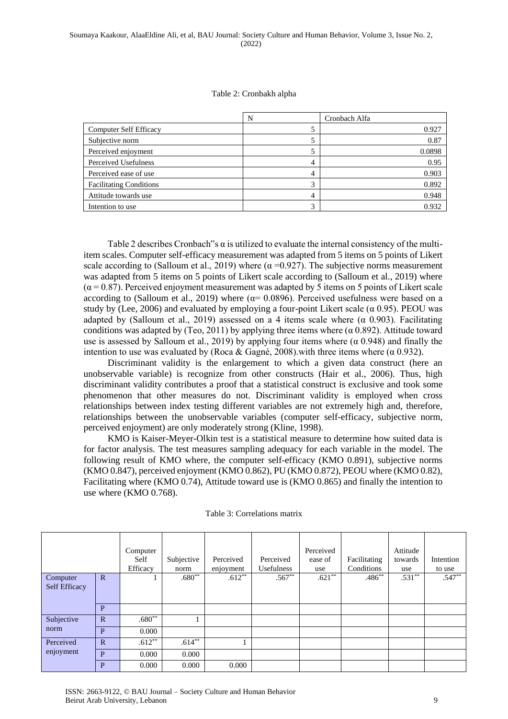#### Table 2: Cronbakh alpha

|                                | N                 | Cronbach Alfa |
|--------------------------------|-------------------|---------------|
| <b>Computer Self Efficacy</b>  |                   | 0.927         |
| Subjective norm                |                   | 0.87          |
| Perceived enjoyment            |                   | 0.0898        |
| Perceived Usefulness           | 4                 | 0.95          |
| Perceived ease of use          | 4                 | 0.903         |
| <b>Facilitating Conditions</b> |                   | 0.892         |
| Attitude towards use           | 4                 | 0.948         |
| Intention to use               | $\mathbf{\Omega}$ | 0.932         |

Table 2 describes Cronbach"s  $\alpha$  is utilized to evaluate the internal consistency of the multiitem scales. Computer self-efficacy measurement was adapted from 5 items on 5 points of Likert scale according to (Salloum et al., 2019) where  $(\alpha = 0.927)$ . The subjective norms measurement was adapted from 5 items on 5 points of Likert scale according to (Salloum et al., 2019) where  $(\alpha = 0.87)$ . Perceived enjoyment measurement was adapted by 5 items on 5 points of Likert scale according to (Salloum et al., 2019) where  $(a= 0.0896)$ . Perceived usefulness were based on a study by (Lee, 2006) and evaluated by employing a four-point Likert scale ( $\alpha$  0.95). PEOU was adapted by (Salloum et al., 2019) assessed on a 4 items scale where  $(\alpha \ 0.903)$ . Facilitating conditions was adapted by (Teo, 2011) by applying three items where ( $\alpha$  0.892). Attitude toward use is assessed by Salloum et al., 2019) by applying four items where ( $\alpha$  0.948) and finally the intention to use was evaluated by (Roca & Gagné, 2008). with three items where ( $\alpha$  0.932).

Discriminant validity is the enlargement to which a given data construct (here an unobservable variable) is recognize from other constructs (Hair et al., 2006). Thus, high discriminant validity contributes a proof that a statistical construct is exclusive and took some phenomenon that other measures do not. Discriminant validity is employed when cross relationships between index testing different variables are not extremely high and, therefore, relationships between the unobservable variables (computer self-efficacy, subjective norm, perceived enjoyment) are only moderately strong (Kline, 1998).

KMO is Kaiser-Meyer-Olkin test is a statistical measure to determine how suited data is for factor analysis. The test measures sampling adequacy for each variable in the model. The following result of KMO where, the computer self-efficacy (KMO 0.891), subjective norms (KMO 0.847), perceived enjoyment (KMO 0.862), PU (KMO 0.872), PEOU where (KMO 0.82), Facilitating where (KMO 0.74), Attitude toward use is (KMO 0.865) and finally the intention to use where (KMO 0.768).

|                           |              | Computer<br>Self<br>Efficacy | Subjective<br>norm | Perceived<br>enjoyment | Perceived<br>Usefulness | Perceived<br>ease of<br>use | Facilitating<br>Conditions | Attitude<br>towards<br>use | Intention<br>to use |
|---------------------------|--------------|------------------------------|--------------------|------------------------|-------------------------|-----------------------------|----------------------------|----------------------------|---------------------|
| Computer<br>Self Efficacy | $\mathbf{R}$ |                              | $.680**$           | $.612**$               | $.567**$                | $.621**$                    | $.486**$                   | $.531**$                   | $.547**$            |
|                           | P            |                              |                    |                        |                         |                             |                            |                            |                     |
| Subjective                | $\mathbf R$  | $.680**$                     |                    |                        |                         |                             |                            |                            |                     |
| norm                      | P            | 0.000                        |                    |                        |                         |                             |                            |                            |                     |
| Perceived<br>enjoyment    | $\mathbf R$  | $.612***$                    | $.614**$           |                        |                         |                             |                            |                            |                     |
|                           | P            | 0.000                        | 0.000              |                        |                         |                             |                            |                            |                     |
|                           | P            | 0.000                        | 0.000              | 0.000                  |                         |                             |                            |                            |                     |

#### Table 3: Correlations matrix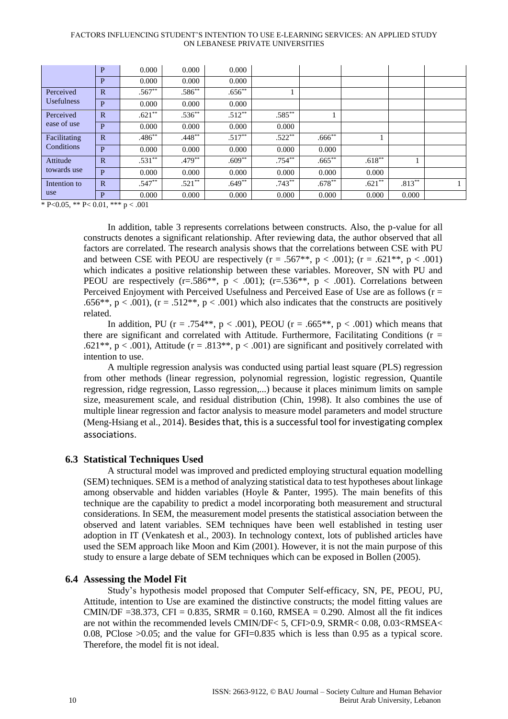#### FACTORS INFLUENCING STUDENT'S INTENTION TO USE E-LEARNING SERVICES: AN APPLIED STUDY ON LEBANESE PRIVATE UNIVERSITIES

|                         | P            | 0.000     | 0.000       | 0.000    |           |             |           |           |  |
|-------------------------|--------------|-----------|-------------|----------|-----------|-------------|-----------|-----------|--|
|                         | P            | 0.000     | 0.000       | 0.000    |           |             |           |           |  |
| Perceived               | $\mathbf R$  | $.567**$  | $.586^{**}$ | $.656**$ |           |             |           |           |  |
| <b>Usefulness</b>       | P            | 0.000     | 0.000       | 0.000    |           |             |           |           |  |
| Perceived               | $\mathbf R$  | $.621**$  | $.536**$    | $.512**$ | $.585**$  |             |           |           |  |
| ease of use             | P            | 0.000     | 0.000       | 0.000    | 0.000     |             |           |           |  |
| Facilitating            | $\mathbb{R}$ | $.486***$ | $.448**$    | $.517**$ | $.522**$  | $.666^{**}$ |           |           |  |
| Conditions              | P            | 0.000     | 0.000       | 0.000    | 0.000     | 0.000       |           |           |  |
| Attitude<br>towards use | $\mathbf R$  | $.531**$  | $.479**$    | $.609**$ | $.754***$ | $.665***$   | $.618***$ |           |  |
|                         | P            | 0.000     | 0.000       | 0.000    | 0.000     | 0.000       | 0.000     |           |  |
| Intention to<br>use     | $\mathbf{R}$ | $.547**$  | $.521***$   | $.649**$ | $.743***$ | $.678***$   | $.621**$  | $.813***$ |  |
|                         | P            | 0.000     | 0.000       | 0.000    | 0.000     | 0.000       | 0.000     | 0.000     |  |

\* P<0.05, \*\* P< 0.01, \*\*\* p < .001

In addition, table 3 represents correlations between constructs. Also, the p-value for all constructs denotes a significant relationship. After reviewing data, the author observed that all factors are correlated. The research analysis shows that the correlations between CSE with PU and between CSE with PEOU are respectively  $(r = .567**, p < .001)$ ;  $(r = .621**, p < .001)$ which indicates a positive relationship between these variables. Moreover, SN with PU and PEOU are respectively  $(r=.586**, p < .001)$ ;  $(r=.536**, p < .001)$ . Correlations between Perceived Enjoyment with Perceived Usefulness and Perceived Ease of Use are as follows ( $r =$ .656\*\*,  $p < .001$ ), ( $r = .512$ \*\*,  $p < .001$ ) which also indicates that the constructs are positively related.

In addition, PU ( $r = .754**$ ,  $p < .001$ ), PEOU ( $r = .665**$ ,  $p < .001$ ) which means that there are significant and correlated with Attitude. Furthermore, Facilitating Conditions ( $r =$ .621\*\*, p < .001), Attitude (r = .813\*\*, p < .001) are significant and positively correlated with intention to use.

A multiple regression analysis was conducted using partial least square (PLS) regression from other methods (linear regression, polynomial regression, logistic regression, Quantile regression, ridge regression, Lasso regression,...) because it places minimum limits on sample size, measurement scale, and residual distribution (Chin, 1998). It also combines the use of multiple linear regression and factor analysis to measure model parameters and model structure (Meng-Hsiang et al., 2014). Besides that, this is a successful tool for investigating complex associations.

#### **6.3 Statistical Techniques Used**

A structural model was improved and predicted employing structural equation modelling (SEM) techniques. SEM is a method of analyzing statistical data to test hypotheses about linkage among observable and hidden variables (Hoyle & Panter, 1995). The main benefits of this technique are the capability to predict a model incorporating both measurement and structural considerations. In SEM, the measurement model presents the statistical association between the observed and latent variables. SEM techniques have been well established in testing user adoption in IT (Venkatesh et al., 2003). In technology context, lots of published articles have used the SEM approach like Moon and Kim (2001). However, it is not the main purpose of this study to ensure a large debate of SEM techniques which can be exposed in Bollen (2005).

#### **6.4 Assessing the Model Fit**

Study's hypothesis model proposed that Computer Self-efficacy, SN, PE, PEOU, PU, Attitude, intention to Use are examined the distinctive constructs; the model fitting values are CMIN/DF =38.373, CFI =  $0.835$ , SRMR =  $0.160$ , RMSEA =  $0.290$ . Almost all the fit indices are not within the recommended levels CMIN/DF< 5, CFI>0.9, SRMR< 0.08, 0.03<RMSEA< 0.08, PClose >0.05; and the value for GFI=0.835 which is less than 0.95 as a typical score. Therefore, the model fit is not ideal.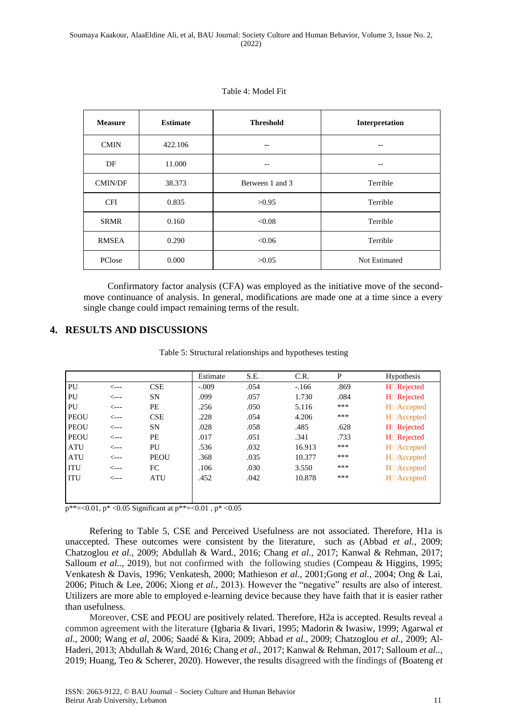| <b>Measure</b> | <b>Estimate</b> | <b>Threshold</b> | Interpretation |
|----------------|-----------------|------------------|----------------|
| <b>CMIN</b>    | 422.106         | --               |                |
| DF             | 11.000          | --               | --             |
| <b>CMIN/DF</b> | 38.373          | Between 1 and 3  | Terrible       |
| <b>CFI</b>     | 0.835           | >0.95            | Terrible       |
| <b>SRMR</b>    | 0.160           | < 0.08           | Terrible       |
| <b>RMSEA</b>   | 0.290           | <0.06            | Terrible       |
| PClose         | 0.000           | >0.05            | Not Estimated  |

Table 4: Model Fit

Confirmatory factor analysis (CFA) was employed as the initiative move of the secondmove continuance of analysis. In general, modifications are made one at a time since a every single change could impact remaining terms of the result.

#### **4. RESULTS AND DISCUSSIONS**

| Table 5: Structural relationships and hypotheses testing |  |  |
|----------------------------------------------------------|--|--|
|                                                          |  |  |

|      |             | Estimate                                  | S.E.             | C.R.   | P    | <b>Hypothesis</b>       |
|------|-------------|-------------------------------------------|------------------|--------|------|-------------------------|
| <--- | <b>CSE</b>  | $-.009$                                   | .054             | $-166$ | .869 | $H \square$ Rejected    |
| <--- | <b>SN</b>   | .099                                      | .057             | 1.730  | .084 | $H \square$ Rejected    |
| <--- | PE          | .256                                      | .050             | 5.116  | ***  | H <sub>□</sub> Accepted |
| <--- | <b>CSE</b>  | .228                                      | .054             | 4.206  | ***  | $H \Box$ Accepted       |
| <--- | <b>SN</b>   | .028                                      | .058             | .485   | .628 | $H \square$ Rejected    |
| <--- | PE          | .017                                      | .051             | .341   | .733 | H□Rejected              |
| <--- | PU          | .536                                      | .032             | 16.913 | ***  | $H \Box$ Accepted       |
| <--- | <b>PEOU</b> | .368                                      | .035             | 10.377 | ***  | H <sub>□</sub> Accepted |
| <--- | FC          | .106                                      | .030             | 3.550  | ***  | $H \Box$ Accepted       |
| <--- | <b>ATU</b>  | .452                                      | .042             | 10.878 | ***  | $H \Box$ Accepted       |
|      |             |                                           |                  |        |      |                         |
|      |             |                                           |                  |        |      |                         |
|      |             | $+$ 0.01 $+$ 0.05 $0$ ; $0$ ; $+$ $+$ $+$ | $0.01 \div 0.05$ |        |      |                         |

p\*\*=<0.01, p\* <0.05 Significant at p\*\*=<0.01, p\* <0.05

Refering to Table 5, CSE and Perceived Usefulness are not associated. Therefore, H1a is unaccepted. These outcomes were consistent by the literature, such as (Abbad *et al.,* 2009; Chatzoglou *et al.,* 2009; Abdullah & Ward*.,* 2016; Chang *et al.,* 2017; Kanwal & Rehman*,* 2017; Salloum *et al..,* 2019), but not confirmed with the following studies (Compeau & Higgins, 1995; Venkatesh & Davis, 1996; Venkatesh, 2000; Mathieson *et al.,* 2001;Gong *et al.,* 2004; Ong & Lai, 2006; Pituch & Lee, 2006; Xiong *et al.,* 2013). However the "negative" results are also of interest. Utilizers are more able to employed e-learning device because they have faith that it is easier rather than usefulness.

Moreover, CSE and PEOU are positively related. Therefore, H2a is accepted. Results reveal a common agreement with the literature (Igbaria & Iivari, 1995; Madorin & Iwasiw, 1999; Agarwal *et al.,* 2000; Wang *et al,* 2006; Saadé & Kira, 2009; Abbad *et al.,* 2009; Chatzoglou *et al.,* 2009; Al-Haderi, 2013; Abdullah & Ward*,* 2016; Chang *et al.,* 2017; Kanwal & Rehman*,* 2017; Salloum *et al..,* 2019; Huang, Teo & Scherer, 2020). However, the results disagreed with the findings of (Boateng *et*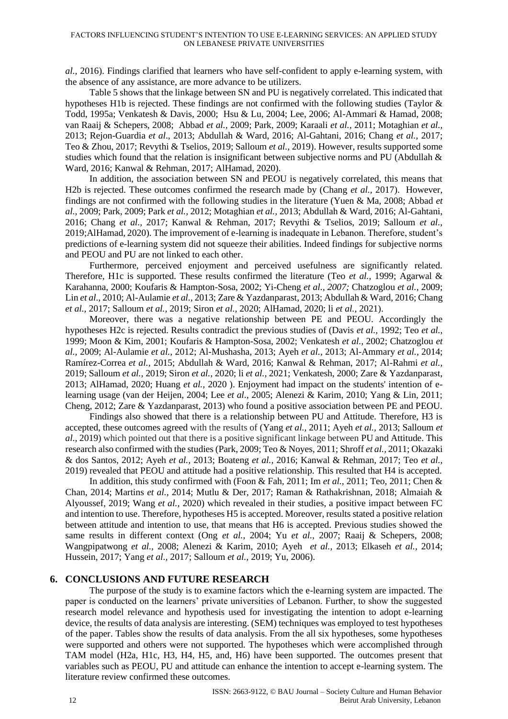*al.,* 2016). Findings clarified that learners who have self-confident to apply e-learning system, with the absence of any assistance, are more advance to be utilizers.

Table 5 shows that the linkage between SN and PU is negatively correlated. This indicated that hypotheses H1b is rejected. These findings are not confirmed with the following studies (Taylor & Todd, 1995a; Venkatesh & Davis, 2000; Hsu & Lu, 2004; Lee, 2006; Al-Ammari & Hamad, 2008; van Raaij & Schepers, 2008; Abbad *et al.,* 2009; Park, 2009; Karaali *et al.,* 2011; Motaghian *et al.,* 2013; Rejon-Guardia *et al*., 2013; Abdullah & Ward, 2016; Al-Gahtani, 2016; Chang *et al.,* 2017; Teo & Zhou, 2017; Revythi & Tselios, 2019; Salloum *et al.,* 2019). However, results supported some studies which found that the relation is insignificant between subjective norms and PU (Abdullah  $\&$ Ward*,* 2016; Kanwal & Rehman, 2017; AlHamad, 2020).

In addition, the association between SN and PEOU is negatively correlated, this means that H2b is rejected. These outcomes confirmed the research made by (Chang *et al.,* 2017). However, findings are not confirmed with the following studies in the literature (Yuen & Ma, 2008; Abbad *et al.,* 2009; Park, 2009; Park *et al.,* 2012; Motaghian *et al.,* 2013; Abdullah & Ward*,* 2016; Al-Gahtani, 2016; Chang *et al.,* 2017; Kanwal & Rehman, 2017; Revythi & Tselios, 2019; Salloum *et al.,* 2019;AlHamad, 2020). The improvement of e-learning is inadequate in Lebanon. Therefore, student's predictions of e-learning system did not squeeze their abilities. Indeed findings for subjective norms and PEOU and PU are not linked to each other.

Furthermore, perceived enjoyment and perceived usefulness are significantly related. Therefore, H1c is supported. These results confirmed the literature (Teo *et al.,* 1999; Agarwal & Karahanna, 2000; Koufaris & Hampton-Sosa, 2002; Yi-Cheng *et al., 2007;* Chatzoglou *et al.,* 2009; Lin *et al.,* 2010; Al-Aulamie *et al.,* 2013; Zare & Yazdanparast, 2013; Abdullah & Ward, 2016; Chang *et al.,* 2017; Salloum *et al.,* 2019; Siron *et al.,* 2020; AlHamad, 2020; li *et al.,* 2021).

Moreover, there was a negative relationship between PE and PEOU. Accordingly the hypotheses H2c is rejected. Results contradict the previous studies of (Davis *et al.,* 1992; Teo *et al.,* 1999; Moon & Kim, 2001; Koufaris & Hampton-Sosa, 2002; Venkatesh *et al.,* 2002; Chatzoglou *et al.,* 2009; Al-Aulamie *et al.,* 2012; Al-Mushasha, 2013; Ayeh *et al.,* 2013; Al-Ammary *et al.,* 2014; Ramírez-Correa *et al.,* 2015; Abdullah & Ward, 2016; Kanwal & Rehman, 2017; Al-Rahmi *et al.,* 2019; Salloum *et al.,* 2019; Siron *et al.,* 2020; li *et al.,* 2021; Venkatesh, 2000; Zare & Yazdanparast, 2013; AlHamad, 2020; Huang *et al.,* 2020 ). Enjoyment had impact on the students' intention of elearning usage (van der Heijen, 2004; Lee *et al*., 2005; Alenezi & Karim, 2010; Yang & Lin, 2011; Cheng, 2012; Zare & Yazdanparast, 2013) who found a positive association between PE and PEOU.

Findings also showed that there is a relationship between PU and Attitude. Therefore, H3 is accepted, these outcomes agreed with the results of (Yang *et al.,* 2011; Ayeh *et al.,* 2013; Salloum *et al.,* 2019) which pointed out that there is a positive significant linkage between PU and Attitude. This research also confirmed with the studies (Park, 2009; Teo & Noyes, 2011; Shroff *et al.,* 2011; Okazaki & dos Santos, 2012; Ayeh *et al.,* 2013; Boateng *et al.,* 2016; Kanwal & Rehman, 2017; Teo *et al.,* 2019) revealed that PEOU and attitude had a positive relationship. This resulted that H4 is accepted.

In addition, this study confirmed with (Foon & Fah, 2011; Im *et al.,* 2011; Teo, 2011; Chen & Chan, 2014; Martins *et al.,* 2014; Mutlu & Der, 2017; Raman & Rathakrishnan, 2018; Almaiah & Alyoussef, 2019; Wang *et al.,* 2020) which revealed in their studies, a positive impact between FC and intention to use. Therefore, hypotheses H5 is accepted. Moreover, results stated a positive relation between attitude and intention to use, that means that H6 is accepted. Previous studies showed the same results in different context (Ong *et al.,* 2004; Yu *et al.,* 2007; Raaij & Schepers, 2008; Wangpipatwong *et al.,* 2008; Alenezi & Karim, 2010; Ayeh *et al.,* 2013; Elkaseh *et al.,* 2014; Hussein, 2017; Yang *et al.,* 2017; Salloum *et al.,* 2019; Yu, 2006).

#### **6. CONCLUSIONS AND FUTURE RESEARCH**

The purpose of the study is to examine factors which the e-learning system are impacted. The paper is conducted on the learners' private universities of Lebanon. Further, to show the suggested research model relevance and hypothesis used for investigating the intention to adopt e-learning device, the results of data analysis are interesting. (SEM) techniques was employed to test hypotheses of the paper. Tables show the results of data analysis. From the all six hypotheses, some hypotheses were supported and others were not supported. The hypotheses which were accomplished through TAM model (H2a, H1c, H3, H4, H5, and, H6) have been supported. The outcomes present that variables such as PEOU, PU and attitude can enhance the intention to accept e-learning system. The literature review confirmed these outcomes.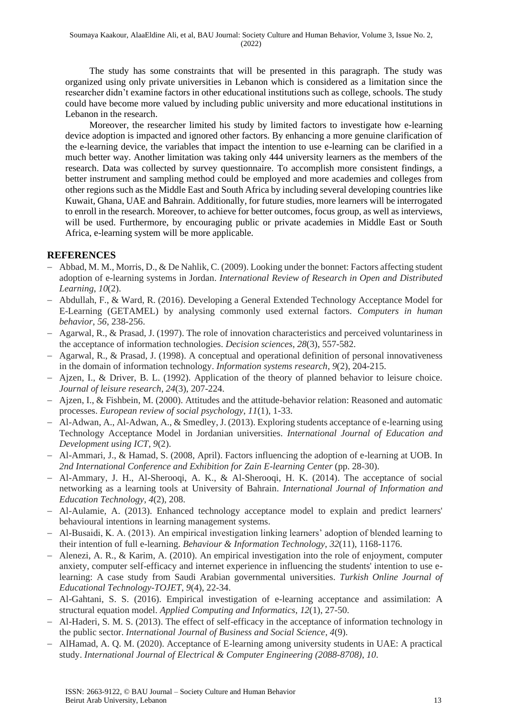The study has some constraints that will be presented in this paragraph. The study was organized using only private universities in Lebanon which is considered as a limitation since the researcher didn't examine factors in other educational institutions such as college, schools. The study could have become more valued by including public university and more educational institutions in Lebanon in the research.

Moreover, the researcher limited his study by limited factors to investigate how e-learning device adoption is impacted and ignored other factors. By enhancing a more genuine clarification of the e-learning device, the variables that impact the intention to use e-learning can be clarified in a much better way. Another limitation was taking only 444 university learners as the members of the research. Data was collected by survey questionnaire. To accomplish more consistent findings, a better instrument and sampling method could be employed and more academies and colleges from other regions such as the Middle East and South Africa by including several developing countries like Kuwait, Ghana, UAE and Bahrain. Additionally, for future studies, more learners will be interrogated to enroll in the research. Moreover, to achieve for better outcomes, focus group, as well as interviews, will be used. Furthermore, by encouraging public or private academies in Middle East or South Africa, e-learning system will be more applicable.

#### **REFERENCES**

- − Abbad, M. M., Morris, D., & De Nahlik, C. (2009). Looking under the bonnet: Factors affecting student adoption of e-learning systems in Jordan. *International Review of Research in Open and Distributed Learning*, *10*(2).
- − Abdullah, F., & Ward, R. (2016). Developing a General Extended Technology Acceptance Model for E-Learning (GETAMEL) by analysing commonly used external factors. *Computers in human behavior*, *56*, 238-256.
- − Agarwal, R., & Prasad, J. (1997). The role of innovation characteristics and perceived voluntariness in the acceptance of information technologies. *Decision sciences*, *28*(3), 557-582.
- − Agarwal, R., & Prasad, J. (1998). A conceptual and operational definition of personal innovativeness in the domain of information technology. *Information systems research*, *9*(2), 204-215.
- − Ajzen, I., & Driver, B. L. (1992). Application of the theory of planned behavior to leisure choice. *Journal of leisure research*, *24*(3), 207-224.
- − Ajzen, I., & Fishbein, M. (2000). Attitudes and the attitude-behavior relation: Reasoned and automatic processes. *European review of social psychology*, *11*(1), 1-33.
- − Al-Adwan, A., Al-Adwan, A., & Smedley, J. (2013). Exploring students acceptance of e-learning using Technology Acceptance Model in Jordanian universities. *International Journal of Education and Development using ICT*, *9*(2).
- − Al-Ammari, J., & Hamad, S. (2008, April). Factors influencing the adoption of e-learning at UOB. In *2nd International Conference and Exhibition for Zain E-learning Center* (pp. 28-30).
- − Al-Ammary, J. H., Al-Sherooqi, A. K., & Al-Sherooqi, H. K. (2014). The acceptance of social networking as a learning tools at University of Bahrain. *International Journal of Information and Education Technology*, *4*(2), 208.
- − Al-Aulamie, A. (2013). Enhanced technology acceptance model to explain and predict learners' behavioural intentions in learning management systems.
- − Al-Busaidi, K. A. (2013). An empirical investigation linking learners' adoption of blended learning to their intention of full e-learning. *Behaviour & Information Technology*, *32*(11), 1168-1176.
- − Alenezi, A. R., & Karim, A. (2010). An empirical investigation into the role of enjoyment, computer anxiety, computer self-efficacy and internet experience in influencing the students' intention to use elearning: A case study from Saudi Arabian governmental universities. *Turkish Online Journal of Educational Technology-TOJET*, *9*(4), 22-34.
- − Al-Gahtani, S. S. (2016). Empirical investigation of e-learning acceptance and assimilation: A structural equation model. *Applied Computing and Informatics*, *12*(1), 27-50.
- − Al-Haderi, S. M. S. (2013). The effect of self-efficacy in the acceptance of information technology in the public sector. *International Journal of Business and Social Science*, *4*(9).
- − AlHamad, A. Q. M. (2020). Acceptance of E-learning among university students in UAE: A practical study. *International Journal of Electrical & Computer Engineering (2088-8708)*, *10*.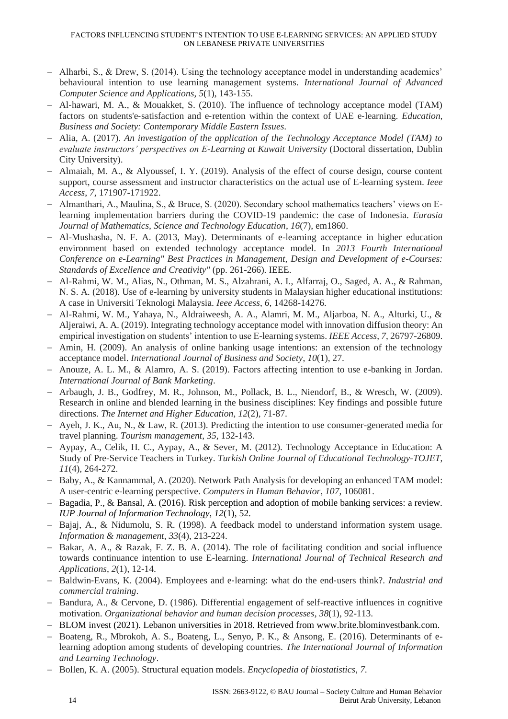- − Alharbi, S., & Drew, S. (2014). Using the technology acceptance model in understanding academics' behavioural intention to use learning management systems. *International Journal of Advanced Computer Science and Applications*, *5*(1), 143-155.
- − Al‐hawari, M. A., & Mouakket, S. (2010). The influence of technology acceptance model (TAM) factors on students'e-satisfaction and e-retention within the context of UAE e-learning. *Education*, *Business and Society: Contemporary Middle Eastern Issues*.
- − Alia, A. (2017). *An investigation of the application of the Technology Acceptance Model (TAM) to evaluate instructors' perspectives on E-Learning at Kuwait University* (Doctoral dissertation, Dublin City University).
- − Almaiah, M. A., & Alyoussef, I. Y. (2019). Analysis of the effect of course design, course content support, course assessment and instructor characteristics on the actual use of E-learning system. *Ieee Access*, *7*, 171907-171922.
- − Almanthari, A., Maulina, S., & Bruce, S. (2020). Secondary school mathematics teachers' views on Elearning implementation barriers during the COVID-19 pandemic: the case of Indonesia. *Eurasia Journal of Mathematics, Science and Technology Education*, *16*(7), em1860.
- − Al-Mushasha, N. F. A. (2013, May). Determinants of e-learning acceptance in higher education environment based on extended technology acceptance model. In *2013 Fourth International Conference on e-Learning" Best Practices in Management, Design and Development of e-Courses: Standards of Excellence and Creativity"* (pp. 261-266). IEEE.
- − Al-Rahmi, W. M., Alias, N., Othman, M. S., Alzahrani, A. I., Alfarraj, O., Saged, A. A., & Rahman, N. S. A. (2018). Use of e-learning by university students in Malaysian higher educational institutions: A case in Universiti Teknologi Malaysia. *Ieee Access*, *6*, 14268-14276.
- − Al-Rahmi, W. M., Yahaya, N., Aldraiweesh, A. A., Alamri, M. M., Aljarboa, N. A., Alturki, U., & Aljeraiwi, A. A. (2019). Integrating technology acceptance model with innovation diffusion theory: An empirical investigation on students' intention to use E-learning systems. *IEEE Access*, *7*, 26797-26809.
- − Amin, H. (2009). An analysis of online banking usage intentions: an extension of the technology acceptance model. *International Journal of Business and Society*, *10*(1), 27.
- − Anouze, A. L. M., & Alamro, A. S. (2019). Factors affecting intention to use e-banking in Jordan. *International Journal of Bank Marketing*.
- − Arbaugh, J. B., Godfrey, M. R., Johnson, M., Pollack, B. L., Niendorf, B., & Wresch, W. (2009). Research in online and blended learning in the business disciplines: Key findings and possible future directions. *The Internet and Higher Education*, *12*(2), 71-87.
- − Ayeh, J. K., Au, N., & Law, R. (2013). Predicting the intention to use consumer-generated media for travel planning. *Tourism management*, *35*, 132-143.
- − Aypay, A., Celik, H. C., Aypay, A., & Sever, M. (2012). Technology Acceptance in Education: A Study of Pre-Service Teachers in Turkey. *Turkish Online Journal of Educational Technology-TOJET*, *11*(4), 264-272.
- − Baby, A., & Kannammal, A. (2020). Network Path Analysis for developing an enhanced TAM model: A user-centric e-learning perspective. *Computers in Human Behavior*, *107*, 106081.
- − Bagadia, P., & Bansal, A. (2016). Risk perception and adoption of mobile banking services: a review. *IUP Journal of Information Technology*, *12*(1), 52.
- − Bajaj, A., & Nidumolu, S. R. (1998). A feedback model to understand information system usage. *Information & management*, *33*(4), 213-224.
- − Bakar, A. A., & Razak, F. Z. B. A. (2014). The role of facilitating condition and social influence towards continuance intention to use E-learning. *International Journal of Technical Research and Applications*, *2*(1), 12-14.
- − Baldwin‐Evans, K. (2004). Employees and e‐learning: what do the end‐users think?. *Industrial and commercial training*.
- − Bandura, A., & Cervone, D. (1986). Differential engagement of self-reactive influences in cognitive motivation. *Organizational behavior and human decision processes*, *38*(1), 92-113.
- − BLOM invest (2021). Lebanon universities in 2018. Retrieved from [www.brite.blominvestbank.com.](http://www.brite.blominvestbank.com/)
- − Boateng, R., Mbrokoh, A. S., Boateng, L., Senyo, P. K., & Ansong, E. (2016). Determinants of elearning adoption among students of developing countries. *The International Journal of Information and Learning Technology*.
- − Bollen, K. A. (2005). Structural equation models. *Encyclopedia of biostatistics*, *7*.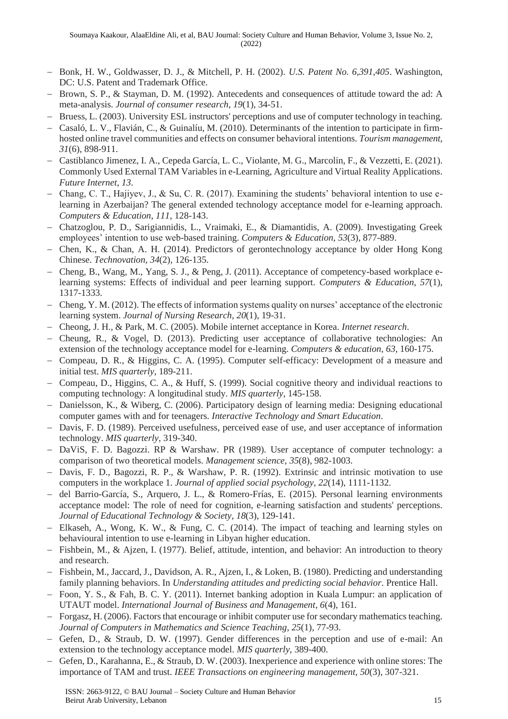- − Bonk, H. W., Goldwasser, D. J., & Mitchell, P. H. (2002). *U.S. Patent No. 6,391,405*. Washington, DC: U.S. Patent and Trademark Office.
- Brown, S. P., & Stayman, D. M. (1992). Antecedents and consequences of attitude toward the ad: A meta-analysis. *Journal of consumer research*, *19*(1), 34-51.
- − Bruess, L. (2003). University ESL instructors' perceptions and use of computer technology in teaching.
- − Casaló, L. V., Flavián, C., & Guinalíu, M. (2010). Determinants of the intention to participate in firmhosted online travel communities and effects on consumer behavioral intentions. *Tourism management*, *31*(6), 898-911.
- − Castiblanco Jimenez, I. A., Cepeda García, L. C., Violante, M. G., Marcolin, F., & Vezzetti, E. (2021). Commonly Used External TAM Variables in e-Learning, Agriculture and Virtual Reality Applications. *Future Internet*, *13*.
- − Chang, C. T., Hajiyev, J., & Su, C. R. (2017). Examining the students' behavioral intention to use elearning in Azerbaijan? The general extended technology acceptance model for e-learning approach. *Computers & Education*, *111*, 128-143.
- − Chatzoglou, P. D., Sarigiannidis, L., Vraimaki, E., & Diamantidis, A. (2009). Investigating Greek employees' intention to use web-based training. *Computers & Education*, *53*(3), 877-889.
- − Chen, K., & Chan, A. H. (2014). Predictors of gerontechnology acceptance by older Hong Kong Chinese. *Technovation*, *34*(2), 126-135.
- − Cheng, B., Wang, M., Yang, S. J., & Peng, J. (2011). Acceptance of competency-based workplace elearning systems: Effects of individual and peer learning support. *Computers & Education*, *57*(1), 1317-1333.
- − Cheng, Y. M. (2012). The effects of information systems quality on nurses' acceptance of the electronic learning system. *Journal of Nursing Research*, *20*(1), 19-31.
- − Cheong, J. H., & Park, M. C. (2005). Mobile internet acceptance in Korea. *Internet research*.
- − Cheung, R., & Vogel, D. (2013). Predicting user acceptance of collaborative technologies: An extension of the technology acceptance model for e-learning. *Computers & education*, *63*, 160-175.
- − Compeau, D. R., & Higgins, C. A. (1995). Computer self-efficacy: Development of a measure and initial test. *MIS quarterly*, 189-211.
- − Compeau, D., Higgins, C. A., & Huff, S. (1999). Social cognitive theory and individual reactions to computing technology: A longitudinal study. *MIS quarterly*, 145-158.
- − Danielsson, K., & Wiberg, C. (2006). Participatory design of learning media: Designing educational computer games with and for teenagers. *Interactive Technology and Smart Education*.
- − Davis, F. D. (1989). Perceived usefulness, perceived ease of use, and user acceptance of information technology. *MIS quarterly*, 319-340.
- − DaViS, F. D. Bagozzi. RP & Warshaw. PR (1989). User acceptance of computer technology: a comparison of two theoretical models. *Management science*, *35*(8), 982-1003.
- − Davis, F. D., Bagozzi, R. P., & Warshaw, P. R. (1992). Extrinsic and intrinsic motivation to use computers in the workplace 1. *Journal of applied social psychology*, *22*(14), 1111-1132.
- − del Barrio-García, S., Arquero, J. L., & Romero-Frías, E. (2015). Personal learning environments acceptance model: The role of need for cognition, e-learning satisfaction and students' perceptions. *Journal of Educational Technology & Society*, *18*(3), 129-141.
- − Elkaseh, A., Wong, K. W., & Fung, C. C. (2014). The impact of teaching and learning styles on behavioural intention to use e-learning in Libyan higher education.
- − Fishbein, M., & Ajzen, I. (1977). Belief, attitude, intention, and behavior: An introduction to theory and research.
- − Fishbein, M., Jaccard, J., Davidson, A. R., Ajzen, I., & Loken, B. (1980). Predicting and understanding family planning behaviors. In *Understanding attitudes and predicting social behavior*. Prentice Hall.
- − Foon, Y. S., & Fah, B. C. Y. (2011). Internet banking adoption in Kuala Lumpur: an application of UTAUT model. *International Journal of Business and Management*, *6*(4), 161.
- − Forgasz, H. (2006). Factors that encourage or inhibit computer use for secondary mathematics teaching. *Journal of Computers in Mathematics and Science Teaching*, *25*(1), 77-93.
- − Gefen, D., & Straub, D. W. (1997). Gender differences in the perception and use of e-mail: An extension to the technology acceptance model. *MIS quarterly*, 389-400.
- Gefen, D., Karahanna, E., & Straub, D. W. (2003). Inexperience and experience with online stores: The importance of TAM and trust. *IEEE Transactions on engineering management*, *50*(3), 307-321.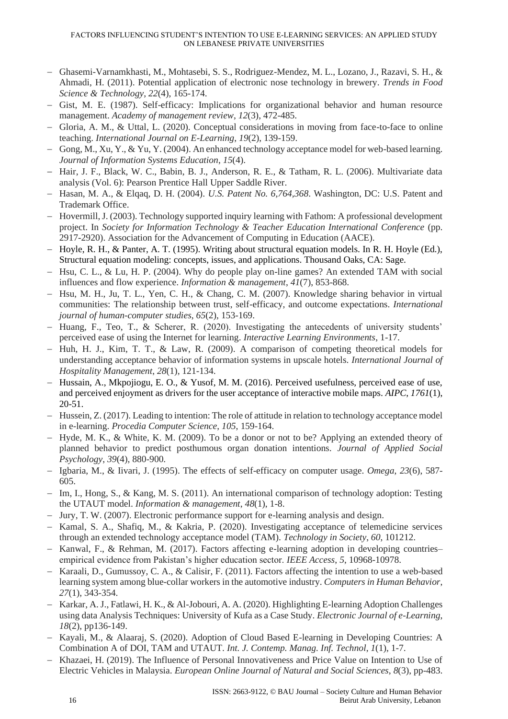- − Ghasemi-Varnamkhasti, M., Mohtasebi, S. S., Rodriguez-Mendez, M. L., Lozano, J., Razavi, S. H., & Ahmadi, H. (2011). Potential application of electronic nose technology in brewery. *Trends in Food Science & Technology*, *22*(4), 165-174.
- − Gist, M. E. (1987). Self-efficacy: Implications for organizational behavior and human resource management. *Academy of management review*, *12*(3), 472-485.
- − Gloria, A. M., & Uttal, L. (2020). Conceptual considerations in moving from face-to-face to online teaching. *International Journal on E-Learning*, *19*(2), 139-159.
- − Gong, M., Xu, Y., & Yu, Y. (2004). An enhanced technology acceptance model for web-based learning. *Journal of Information Systems Education*, *15*(4).
- − Hair, J. F., Black, W. C., Babin, B. J., Anderson, R. E., & Tatham, R. L. (2006). Multivariate data analysis (Vol. 6): Pearson Prentice Hall Upper Saddle River.
- − Hasan, M. A., & Elqaq, D. H. (2004). *U.S. Patent No. 6,764,368*. Washington, DC: U.S. Patent and Trademark Office.
- − Hovermill, J. (2003). Technology supported inquiry learning with Fathom: A professional development project. In *Society for Information Technology & Teacher Education International Conference* (pp. 2917-2920). Association for the Advancement of Computing in Education (AACE).
- − Hoyle, R. H., & Panter, A. T. (1995). Writing about structural equation models. In R. H. Hoyle (Ed.), Structural equation modeling: concepts, issues, and applications. Thousand Oaks, CA: Sage.
- − Hsu, C. L., & Lu, H. P. (2004). Why do people play on-line games? An extended TAM with social influences and flow experience. *Information & management*, *41*(7), 853-868.
- − Hsu, M. H., Ju, T. L., Yen, C. H., & Chang, C. M. (2007). Knowledge sharing behavior in virtual communities: The relationship between trust, self-efficacy, and outcome expectations. *International journal of human-computer studies*, *65*(2), 153-169.
- − Huang, F., Teo, T., & Scherer, R. (2020). Investigating the antecedents of university students' perceived ease of using the Internet for learning. *Interactive Learning Environments*, 1-17.
- − Huh, H. J., Kim, T. T., & Law, R. (2009). A comparison of competing theoretical models for understanding acceptance behavior of information systems in upscale hotels. *International Journal of Hospitality Management*, *28*(1), 121-134.
- − Hussain, A., Mkpojiogu, E. O., & Yusof, M. M. (2016). Perceived usefulness, perceived ease of use, and perceived enjoyment as drivers for the user acceptance of interactive mobile maps. *AIPC*, *1761*(1), 20-51.
- − Hussein, Z. (2017). Leading to intention: The role of attitude in relation to technology acceptance model in e-learning. *Procedia Computer Science*, *105*, 159-164.
- − Hyde, M. K., & White, K. M. (2009). To be a donor or not to be? Applying an extended theory of planned behavior to predict posthumous organ donation intentions. *Journal of Applied Social Psychology*, *39*(4), 880-900.
- − Igbaria, M., & Iivari, J. (1995). The effects of self-efficacy on computer usage. *Omega*, *23*(6), 587- 605.
- − Im, I., Hong, S., & Kang, M. S. (2011). An international comparison of technology adoption: Testing the UTAUT model. *Information & management*, *48*(1), 1-8.
- − Jury, T. W. (2007). Electronic performance support for e-learning analysis and design.
- − Kamal, S. A., Shafiq, M., & Kakria, P. (2020). Investigating acceptance of telemedicine services through an extended technology acceptance model (TAM). *Technology in Society*, *60*, 101212.
- − Kanwal, F., & Rehman, M. (2017). Factors affecting e-learning adoption in developing countries– empirical evidence from Pakistan's higher education sector. *IEEE Access*, *5*, 10968-10978.
- − Karaali, D., Gumussoy, C. A., & Calisir, F. (2011). Factors affecting the intention to use a web-based learning system among blue-collar workers in the automotive industry. *Computers in Human Behavior*, *27*(1), 343-354.
- − Karkar, A. J., Fatlawi, H. K., & Al-Jobouri, A. A. (2020). Highlighting E-learning Adoption Challenges using data Analysis Techniques: University of Kufa as a Case Study. *Electronic Journal of e-Learning*, *18*(2), pp136-149.
- − Kayali, M., & Alaaraj, S. (2020). Adoption of Cloud Based E-learning in Developing Countries: A Combination A of DOI, TAM and UTAUT. *Int. J. Contemp. Manag. Inf. Technol*, *1*(1), 1-7.
- − Khazaei, H. (2019). The Influence of Personal Innovativeness and Price Value on Intention to Use of Electric Vehicles in Malaysia. *European Online Journal of Natural and Social Sciences*, *8*(3), pp-483.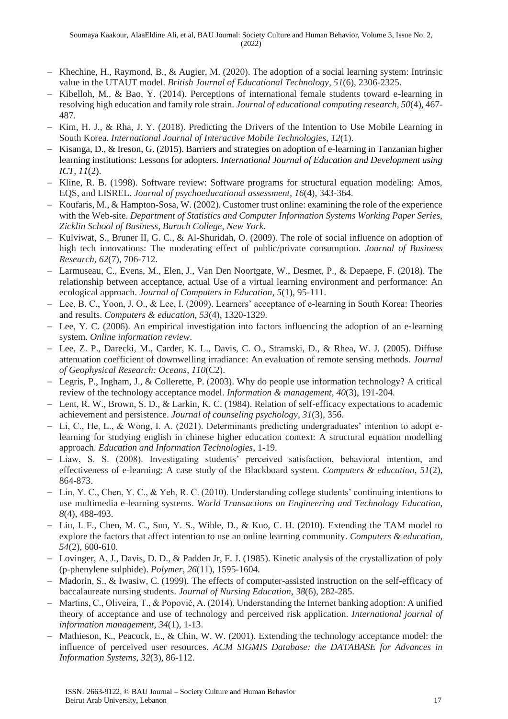- − Khechine, H., Raymond, B., & Augier, M. (2020). The adoption of a social learning system: Intrinsic value in the UTAUT model. *British Journal of Educational Technology*, *51*(6), 2306-2325.
- − Kibelloh, M., & Bao, Y. (2014). Perceptions of international female students toward e-learning in resolving high education and family role strain. *Journal of educational computing research*, *50*(4), 467- 487.
- − Kim, H. J., & Rha, J. Y. (2018). Predicting the Drivers of the Intention to Use Mobile Learning in South Korea. *International Journal of Interactive Mobile Technologies*, *12*(1).
- − Kisanga, D., & Ireson, G. (2015). Barriers and strategies on adoption of e-learning in Tanzanian higher learning institutions: Lessons for adopters. *International Journal of Education and Development using ICT*, *11*(2).
- − Kline, R. B. (1998). Software review: Software programs for structural equation modeling: Amos, EQS, and LISREL. *Journal of psychoeducational assessment*, *16*(4), 343-364.
- − Koufaris, M., & Hampton-Sosa, W. (2002). Customer trust online: examining the role of the experience with the Web-site. *Department of Statistics and Computer Information Systems Working Paper Series, Zicklin School of Business, Baruch College, New York*.
- − Kulviwat, S., Bruner II, G. C., & Al-Shuridah, O. (2009). The role of social influence on adoption of high tech innovations: The moderating effect of public/private consumption. *Journal of Business Research*, *62*(7), 706-712.
- − Larmuseau, C., Evens, M., Elen, J., Van Den Noortgate, W., Desmet, P., & Depaepe, F. (2018). The relationship between acceptance, actual Use of a virtual learning environment and performance: An ecological approach. *Journal of Computers in Education*, *5*(1), 95-111.
- − Lee, B. C., Yoon, J. O., & Lee, I. (2009). Learners' acceptance of e-learning in South Korea: Theories and results. *Computers & education*, *53*(4), 1320-1329.
- − Lee, Y. C. (2006). An empirical investigation into factors influencing the adoption of an e‐learning system. *Online information review*.
- − Lee, Z. P., Darecki, M., Carder, K. L., Davis, C. O., Stramski, D., & Rhea, W. J. (2005). Diffuse attenuation coefficient of downwelling irradiance: An evaluation of remote sensing methods. *Journal of Geophysical Research: Oceans*, *110*(C2).
- − Legris, P., Ingham, J., & Collerette, P. (2003). Why do people use information technology? A critical review of the technology acceptance model. *Information & management*, *40*(3), 191-204.
- − Lent, R. W., Brown, S. D., & Larkin, K. C. (1984). Relation of self-efficacy expectations to academic achievement and persistence. *Journal of counseling psychology*, *31*(3), 356.
- − Li, C., He, L., & Wong, I. A. (2021). Determinants predicting undergraduates' intention to adopt elearning for studying english in chinese higher education context: A structural equation modelling approach. *Education and Information Technologies*, 1-19.
- Liaw, S. S. (2008). Investigating students' perceived satisfaction, behavioral intention, and effectiveness of e-learning: A case study of the Blackboard system. *Computers & education*, *51*(2), 864-873.
- − Lin, Y. C., Chen, Y. C., & Yeh, R. C. (2010). Understanding college students' continuing intentions to use multimedia e-learning systems. *World Transactions on Engineering and Technology Education*, *8*(4), 488-493.
- − Liu, I. F., Chen, M. C., Sun, Y. S., Wible, D., & Kuo, C. H. (2010). Extending the TAM model to explore the factors that affect intention to use an online learning community. *Computers & education*, *54*(2), 600-610.
- − Lovinger, A. J., Davis, D. D., & Padden Jr, F. J. (1985). Kinetic analysis of the crystallization of poly (p-phenylene sulphide). *Polymer*, *26*(11), 1595-1604.
- − Madorin, S., & Iwasiw, C. (1999). The effects of computer-assisted instruction on the self-efficacy of baccalaureate nursing students. *Journal of Nursing Education*, *38*(6), 282-285.
- − Martins, C., Oliveira, T., & Popovič, A. (2014). Understanding the Internet banking adoption: A unified theory of acceptance and use of technology and perceived risk application. *International journal of information management*, *34*(1), 1-13.
- − Mathieson, K., Peacock, E., & Chin, W. W. (2001). Extending the technology acceptance model: the influence of perceived user resources. *ACM SIGMIS Database: the DATABASE for Advances in Information Systems*, *32*(3), 86-112.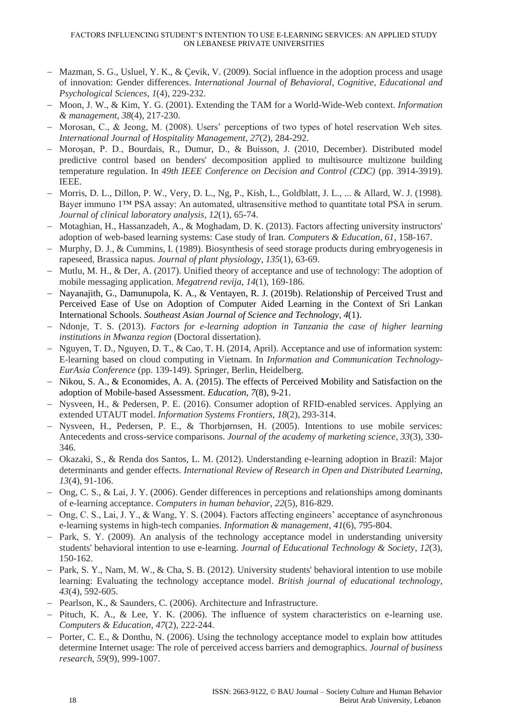- − Mazman, S. G., Usluel, Y. K., & Çevik, V. (2009). Social influence in the adoption process and usage of innovation: Gender differences. *International Journal of Behavioral, Cognitive, Educational and Psychological Sciences*, *1*(4), 229-232.
- − Moon, J. W., & Kim, Y. G. (2001). Extending the TAM for a World-Wide-Web context. *Information & management*, *38*(4), 217-230.
- − Morosan, C., & Jeong, M. (2008). Users' perceptions of two types of hotel reservation Web sites. *International Journal of Hospitality Management*, *27*(2), 284-292.
- − Moroşan, P. D., Bourdais, R., Dumur, D., & Buisson, J. (2010, December). Distributed model predictive control based on benders' decomposition applied to multisource multizone building temperature regulation. In *49th IEEE Conference on Decision and Control (CDC)* (pp. 3914-3919). IEEE.
- − Morris, D. L., Dillon, P. W., Very, D. L., Ng, P., Kish, L., Goldblatt, J. L., ... & Allard, W. J. (1998). Bayer immuno 1™ PSA assay: An automated, ultrasensitive method to quantitate total PSA in serum. *Journal of clinical laboratory analysis*, *12*(1), 65-74.
- − Motaghian, H., Hassanzadeh, A., & Moghadam, D. K. (2013). Factors affecting university instructors' adoption of web-based learning systems: Case study of Iran. *Computers & Education*, *61*, 158-167.
- − Murphy, D. J., & Cummins, I. (1989). Biosynthesis of seed storage products during embryogenesis in rapeseed, Brassica napus. *Journal of plant physiology*, *135*(1), 63-69.
- − Mutlu, M. H., & Der, A. (2017). Unified theory of acceptance and use of technology: The adoption of mobile messaging application. *Megatrend revija*, *14*(1), 169-186.
- − Nayanajith, G., Damunupola, K. A., & Ventayen, R. J. (2019b). Relationship of Perceived Trust and Perceived Ease of Use on Adoption of Computer Aided Learning in the Context of Sri Lankan International Schools. *Southeast Asian Journal of Science and Technology*, *4*(1).
- − Ndonje, T. S. (2013). *Factors for e-learning adoption in Tanzania the case of higher learning institutions in Mwanza region* (Doctoral dissertation).
- − Nguyen, T. D., Nguyen, D. T., & Cao, T. H. (2014, April). Acceptance and use of information system: E-learning based on cloud computing in Vietnam. In *Information and Communication Technology-EurAsia Conference* (pp. 139-149). Springer, Berlin, Heidelberg.
- − Nikou, S. A., & Economides, A. A. (2015). The effects of Perceived Mobility and Satisfaction on the adoption of Mobile-based Assessment. *Education*, *7*(8), 9-21.
- − Nysveen, H., & Pedersen, P. E. (2016). Consumer adoption of RFID-enabled services. Applying an extended UTAUT model. *Information Systems Frontiers*, *18*(2), 293-314.
- − Nysveen, H., Pedersen, P. E., & Thorbjørnsen, H. (2005). Intentions to use mobile services: Antecedents and cross-service comparisons. *Journal of the academy of marketing science*, *33*(3), 330- 346.
- − Okazaki, S., & Renda dos Santos, L. M. (2012). Understanding e-learning adoption in Brazil: Major determinants and gender effects. *International Review of Research in Open and Distributed Learning*, *13*(4), 91-106.
- − Ong, C. S., & Lai, J. Y. (2006). Gender differences in perceptions and relationships among dominants of e-learning acceptance. *Computers in human behavior*, *22*(5), 816-829.
- − Ong, C. S., Lai, J. Y., & Wang, Y. S. (2004). Factors affecting engineers' acceptance of asynchronous e-learning systems in high-tech companies. *Information & management*, *41*(6), 795-804.
- − Park, S. Y. (2009). An analysis of the technology acceptance model in understanding university students' behavioral intention to use e-learning. *Journal of Educational Technology & Society*, *12*(3), 150-162.
- − Park, S. Y., Nam, M. W., & Cha, S. B. (2012). University students' behavioral intention to use mobile learning: Evaluating the technology acceptance model. *British journal of educational technology*, *43*(4), 592-605.
- − Pearlson, K., & Saunders, C. (2006). Architecture and Infrastructure.
- − Pituch, K. A., & Lee, Y. K. (2006). The influence of system characteristics on e-learning use. *Computers & Education*, *47*(2), 222-244.
- − Porter, C. E., & Donthu, N. (2006). Using the technology acceptance model to explain how attitudes determine Internet usage: The role of perceived access barriers and demographics. *Journal of business research*, *59*(9), 999-1007.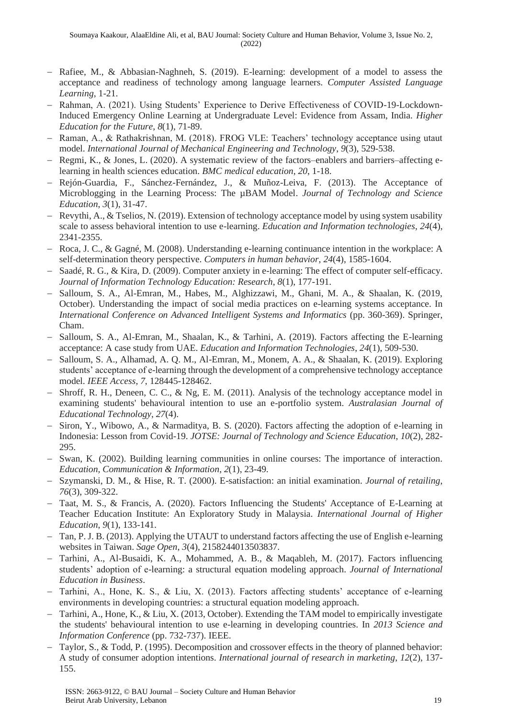- − Rafiee, M., & Abbasian-Naghneh, S. (2019). E-learning: development of a model to assess the acceptance and readiness of technology among language learners. *Computer Assisted Language Learning*, 1-21.
- − Rahman, A. (2021). Using Students' Experience to Derive Effectiveness of COVID-19-Lockdown-Induced Emergency Online Learning at Undergraduate Level: Evidence from Assam, India. *Higher Education for the Future*, *8*(1), 71-89.
- − Raman, A., & Rathakrishnan, M. (2018). FROG VLE: Teachers' technology acceptance using utaut model. *International Journal of Mechanical Engineering and Technology*, *9*(3), 529-538.
- − Regmi, K., & Jones, L. (2020). A systematic review of the factors–enablers and barriers–affecting elearning in health sciences education. *BMC medical education*, *20*, 1-18.
- − Rejón-Guardia, F., Sánchez-Fernández, J., & Muñoz-Leiva, F. (2013). The Acceptance of Microblogging in the Learning Process: The µBAM Model. *Journal of Technology and Science Education*, *3*(1), 31-47.
- − Revythi, A., & Tselios, N. (2019). Extension of technology acceptance model by using system usability scale to assess behavioral intention to use e-learning. *Education and Information technologies*, *24*(4), 2341-2355.
- − Roca, J. C., & Gagné, M. (2008). Understanding e-learning continuance intention in the workplace: A self-determination theory perspective. *Computers in human behavior*, *24*(4), 1585-1604.
- − Saadé, R. G., & Kira, D. (2009). Computer anxiety in e-learning: The effect of computer self-efficacy. *Journal of Information Technology Education: Research*, *8*(1), 177-191.
- − Salloum, S. A., Al-Emran, M., Habes, M., Alghizzawi, M., Ghani, M. A., & Shaalan, K. (2019, October). Understanding the impact of social media practices on e-learning systems acceptance. In *International Conference on Advanced Intelligent Systems and Informatics* (pp. 360-369). Springer, Cham.
- − Salloum, S. A., Al-Emran, M., Shaalan, K., & Tarhini, A. (2019). Factors affecting the E-learning acceptance: A case study from UAE. *Education and Information Technologies*, *24*(1), 509-530.
- − Salloum, S. A., Alhamad, A. Q. M., Al-Emran, M., Monem, A. A., & Shaalan, K. (2019). Exploring students' acceptance of e-learning through the development of a comprehensive technology acceptance model. *IEEE Access*, *7*, 128445-128462.
- Shroff, R. H., Deneen, C. C., & Ng, E. M. (2011). Analysis of the technology acceptance model in examining students' behavioural intention to use an e-portfolio system. *Australasian Journal of Educational Technology*, *27*(4).
- − Siron, Y., Wibowo, A., & Narmaditya, B. S. (2020). Factors affecting the adoption of e-learning in Indonesia: Lesson from Covid-19. *JOTSE: Journal of Technology and Science Education*, *10*(2), 282- 295.
- − Swan, K. (2002). Building learning communities in online courses: The importance of interaction. *Education, Communication & Information*, *2*(1), 23-49.
- − Szymanski, D. M., & Hise, R. T. (2000). E-satisfaction: an initial examination. *Journal of retailing*, *76*(3), 309-322.
- − Taat, M. S., & Francis, A. (2020). Factors Influencing the Students' Acceptance of E-Learning at Teacher Education Institute: An Exploratory Study in Malaysia. *International Journal of Higher Education*, *9*(1), 133-141.
- − Tan, P. J. B. (2013). Applying the UTAUT to understand factors affecting the use of English e-learning websites in Taiwan. *Sage Open*, *3*(4), 2158244013503837.
- − Tarhini, A., Al-Busaidi, K. A., Mohammed, A. B., & Maqableh, M. (2017). Factors influencing students' adoption of e-learning: a structural equation modeling approach. *Journal of International Education in Business*.
- − Tarhini, A., Hone, K. S., & Liu, X. (2013). Factors affecting students' acceptance of e-learning environments in developing countries: a structural equation modeling approach.
- − Tarhini, A., Hone, K., & Liu, X. (2013, October). Extending the TAM model to empirically investigate the students' behavioural intention to use e-learning in developing countries. In *2013 Science and Information Conference* (pp. 732-737). IEEE.
- − Taylor, S., & Todd, P. (1995). Decomposition and crossover effects in the theory of planned behavior: A study of consumer adoption intentions. *International journal of research in marketing*, *12*(2), 137- 155.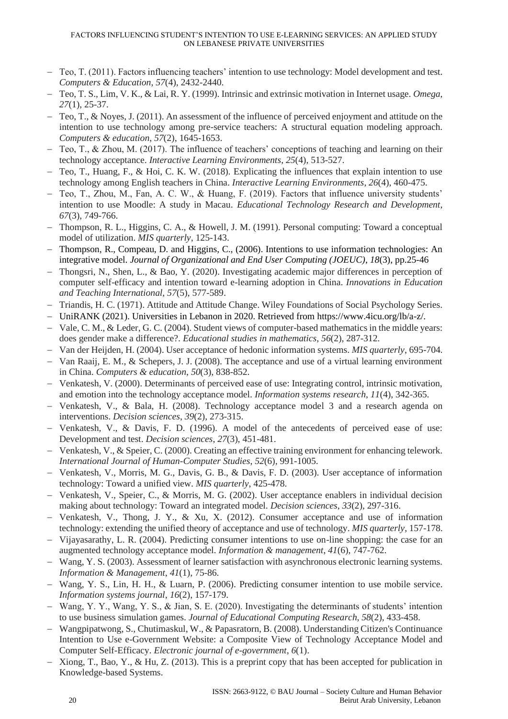- − Teo, T. (2011). Factors influencing teachers' intention to use technology: Model development and test. *Computers & Education*, *57*(4), 2432-2440.
- − Teo, T. S., Lim, V. K., & Lai, R. Y. (1999). Intrinsic and extrinsic motivation in Internet usage. *Omega*, *27*(1), 25-37.
- − Teo, T., & Noyes, J. (2011). An assessment of the influence of perceived enjoyment and attitude on the intention to use technology among pre-service teachers: A structural equation modeling approach. *Computers & education*, *57*(2), 1645-1653.
- − Teo, T., & Zhou, M. (2017). The influence of teachers' conceptions of teaching and learning on their technology acceptance. *Interactive Learning Environments*, *25*(4), 513-527.
- − Teo, T., Huang, F., & Hoi, C. K. W. (2018). Explicating the influences that explain intention to use technology among English teachers in China. *Interactive Learning Environments*, *26*(4), 460-475.
- − Teo, T., Zhou, M., Fan, A. C. W., & Huang, F. (2019). Factors that influence university students' intention to use Moodle: A study in Macau. *Educational Technology Research and Development*, *67*(3), 749-766.
- − Thompson, R. L., Higgins, C. A., & Howell, J. M. (1991). Personal computing: Toward a conceptual model of utilization. *MIS quarterly*, 125-143.
- − Thompson, R., Compeau, D. and Higgins, C., (2006). Intentions to use information technologies: An integrative model. *Journal of Organizational and End User Computing (JOEUC)*, *18*(3), pp.25-46
- − Thongsri, N., Shen, L., & Bao, Y. (2020). Investigating academic major differences in perception of computer self-efficacy and intention toward e-learning adoption in China. *Innovations in Education and Teaching International*, *57*(5), 577-589.
- − Triandis, H. C. (1971). Attitude and Attitude Change. Wiley Foundations of Social Psychology Series.
- − UniRANK (2021). Universities in Lebanon in 2020. Retrieved from [https://www.4icu.org/lb/a-z/.](https://www.4icu.org/lb/a-z/)
- − Vale, C. M., & Leder, G. C. (2004). Student views of computer-based mathematics in the middle years: does gender make a difference?. *Educational studies in mathematics*, *56*(2), 287-312.
- − Van der Heijden, H. (2004). User acceptance of hedonic information systems. *MIS quarterly*, 695-704.
- − Van Raaij, E. M., & Schepers, J. J. (2008). The acceptance and use of a virtual learning environment in China. *Computers & education*, *50*(3), 838-852.
- − Venkatesh, V. (2000). Determinants of perceived ease of use: Integrating control, intrinsic motivation, and emotion into the technology acceptance model. *Information systems research*, *11*(4), 342-365.
- − Venkatesh, V., & Bala, H. (2008). Technology acceptance model 3 and a research agenda on interventions. *Decision sciences*, *39*(2), 273-315.
- − Venkatesh, V., & Davis, F. D. (1996). A model of the antecedents of perceived ease of use: Development and test. *Decision sciences*, *27*(3), 451-481.
- − Venkatesh, V., & Speier, C. (2000). Creating an effective training environment for enhancing telework. *International Journal of Human-Computer Studies*, *52*(6), 991-1005.
- − Venkatesh, V., Morris, M. G., Davis, G. B., & Davis, F. D. (2003). User acceptance of information technology: Toward a unified view. *MIS quarterly*, 425-478.
- − Venkatesh, V., Speier, C., & Morris, M. G. (2002). User acceptance enablers in individual decision making about technology: Toward an integrated model. *Decision sciences*, *33*(2), 297-316.
- − Venkatesh, V., Thong, J. Y., & Xu, X. (2012). Consumer acceptance and use of information technology: extending the unified theory of acceptance and use of technology. *MIS quarterly*, 157-178.
- − Vijayasarathy, L. R. (2004). Predicting consumer intentions to use on-line shopping: the case for an augmented technology acceptance model. *Information & management*, *41*(6), 747-762.
- − Wang, Y. S. (2003). Assessment of learner satisfaction with asynchronous electronic learning systems. *Information & Management*, *41*(1), 75-86.
- − Wang, Y. S., Lin, H. H., & Luarn, P. (2006). Predicting consumer intention to use mobile service. *Information systems journal*, *16*(2), 157-179.
- − Wang, Y. Y., Wang, Y. S., & Jian, S. E. (2020). Investigating the determinants of students' intention to use business simulation games. *Journal of Educational Computing Research*, *58*(2), 433-458.
- − Wangpipatwong, S., Chutimaskul, W., & Papasratorn, B. (2008). Understanding Citizen's Continuance Intention to Use e-Government Website: a Composite View of Technology Acceptance Model and Computer Self-Efficacy. *Electronic journal of e-government*, *6*(1).
- − Xiong, T., Bao, Y., & Hu, Z. (2013). This is a preprint copy that has been accepted for publication in Knowledge-based Systems.